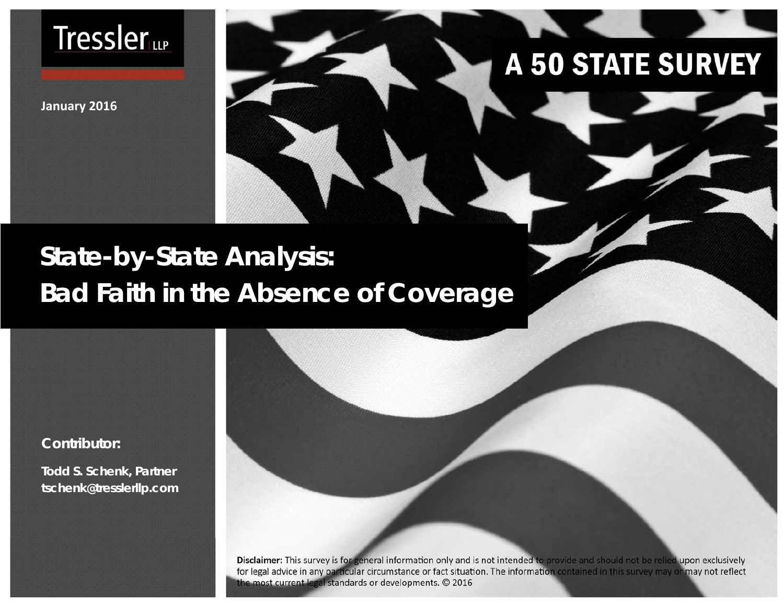

**January 2016**

# **A 50 STATE SURVEY**

# **State-by-State Analysis: Bad Faith in the Absence of Coverage**

**Contributor:** 

**Todd S. Schenk, Partner tschenk@tresslerllp.com** 

> Disclaimer: This survey is for general information only and is not intended to provide and should not be relied upon exclusively for legal advice in any particular circumstance or fact situation. The information contained in this survey may or may not reflect the most current legal standards or developments. © 2016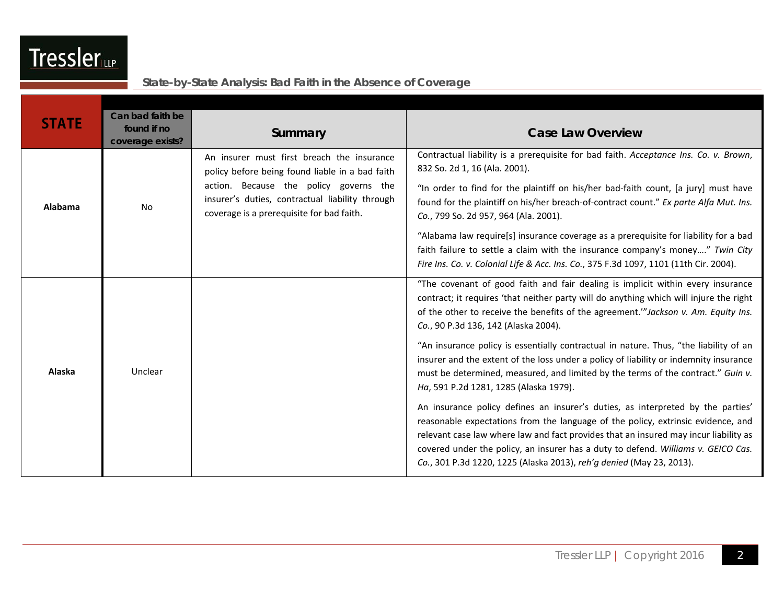|              | Can bad faith be                |                                                                                                                                         |                                                                                                                                                                                                                                                                                                                                                                                                                          |
|--------------|---------------------------------|-----------------------------------------------------------------------------------------------------------------------------------------|--------------------------------------------------------------------------------------------------------------------------------------------------------------------------------------------------------------------------------------------------------------------------------------------------------------------------------------------------------------------------------------------------------------------------|
| <b>STATE</b> | found if no<br>coverage exists? | Summary                                                                                                                                 | <b>Case Law Overview</b>                                                                                                                                                                                                                                                                                                                                                                                                 |
| Alabama      |                                 | An insurer must first breach the insurance<br>policy before being found liable in a bad faith<br>action. Because the policy governs the | Contractual liability is a prerequisite for bad faith. Acceptance Ins. Co. v. Brown,<br>832 So. 2d 1, 16 (Ala. 2001).                                                                                                                                                                                                                                                                                                    |
|              | No                              | insurer's duties, contractual liability through<br>coverage is a prerequisite for bad faith.                                            | "In order to find for the plaintiff on his/her bad-faith count, [a jury] must have<br>found for the plaintiff on his/her breach-of-contract count." Ex parte Alfa Mut. Ins.<br>Co., 799 So. 2d 957, 964 (Ala. 2001).                                                                                                                                                                                                     |
|              |                                 |                                                                                                                                         | "Alabama law require[s] insurance coverage as a prerequisite for liability for a bad<br>faith failure to settle a claim with the insurance company's money" Twin City<br>Fire Ins. Co. v. Colonial Life & Acc. Ins. Co., 375 F.3d 1097, 1101 (11th Cir. 2004).                                                                                                                                                           |
| Alaska       |                                 |                                                                                                                                         | "The covenant of good faith and fair dealing is implicit within every insurance<br>contract; it requires 'that neither party will do anything which will injure the right<br>of the other to receive the benefits of the agreement." Jackson v. Am. Equity Ins.<br>Co., 90 P.3d 136, 142 (Alaska 2004).                                                                                                                  |
|              | Unclear                         |                                                                                                                                         | "An insurance policy is essentially contractual in nature. Thus, "the liability of an<br>insurer and the extent of the loss under a policy of liability or indemnity insurance<br>must be determined, measured, and limited by the terms of the contract." Guin v.<br>Ha, 591 P.2d 1281, 1285 (Alaska 1979).                                                                                                             |
|              |                                 |                                                                                                                                         | An insurance policy defines an insurer's duties, as interpreted by the parties'<br>reasonable expectations from the language of the policy, extrinsic evidence, and<br>relevant case law where law and fact provides that an insured may incur liability as<br>covered under the policy, an insurer has a duty to defend. Williams v. GEICO Cas.<br>Co., 301 P.3d 1220, 1225 (Alaska 2013), reh'g denied (May 23, 2013). |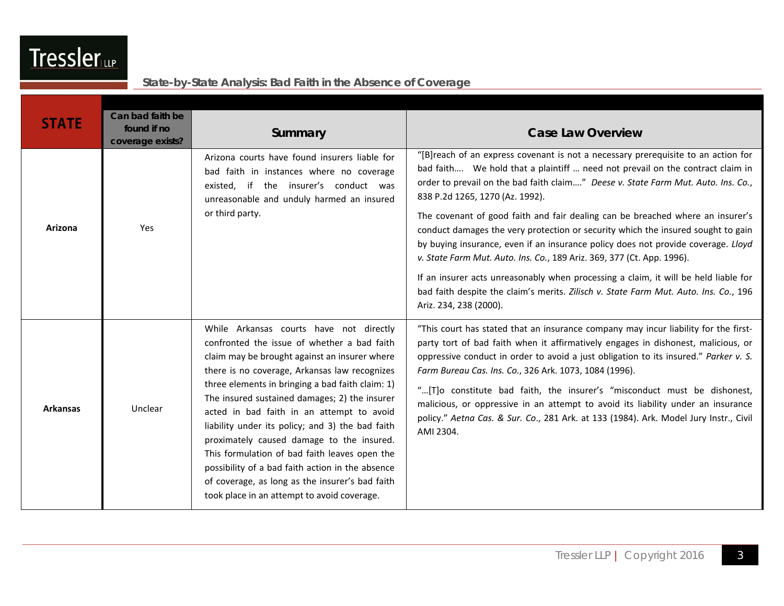| <b>STATE</b>    | Can bad faith be<br>found if no<br>coverage exists? | Summary                                                                                                                                                                                                                                                                                                                                                                                                                                                                                                                                                                                                                                            | <b>Case Law Overview</b>                                                                                                                                                                                                                                                                                                                                                                                                                                                                                                                                                                                                                                                                                                                                                                                                                 |
|-----------------|-----------------------------------------------------|----------------------------------------------------------------------------------------------------------------------------------------------------------------------------------------------------------------------------------------------------------------------------------------------------------------------------------------------------------------------------------------------------------------------------------------------------------------------------------------------------------------------------------------------------------------------------------------------------------------------------------------------------|------------------------------------------------------------------------------------------------------------------------------------------------------------------------------------------------------------------------------------------------------------------------------------------------------------------------------------------------------------------------------------------------------------------------------------------------------------------------------------------------------------------------------------------------------------------------------------------------------------------------------------------------------------------------------------------------------------------------------------------------------------------------------------------------------------------------------------------|
| Arizona         | Yes                                                 | Arizona courts have found insurers liable for<br>bad faith in instances where no coverage<br>existed, if the insurer's conduct was<br>unreasonable and unduly harmed an insured<br>or third party.                                                                                                                                                                                                                                                                                                                                                                                                                                                 | "[B]reach of an express covenant is not a necessary prerequisite to an action for<br>bad faith We hold that a plaintiff  need not prevail on the contract claim in<br>order to prevail on the bad faith claim" Deese v. State Farm Mut. Auto. Ins. Co.,<br>838 P.2d 1265, 1270 (Az. 1992).<br>The covenant of good faith and fair dealing can be breached where an insurer's<br>conduct damages the very protection or security which the insured sought to gain<br>by buying insurance, even if an insurance policy does not provide coverage. Lloyd<br>v. State Farm Mut. Auto. Ins. Co., 189 Ariz. 369, 377 (Ct. App. 1996).<br>If an insurer acts unreasonably when processing a claim, it will be held liable for<br>bad faith despite the claim's merits. Zilisch v. State Farm Mut. Auto. Ins. Co., 196<br>Ariz. 234, 238 (2000). |
| <b>Arkansas</b> | Unclear                                             | While Arkansas courts have not directly<br>confronted the issue of whether a bad faith<br>claim may be brought against an insurer where<br>there is no coverage, Arkansas law recognizes<br>three elements in bringing a bad faith claim: 1)<br>The insured sustained damages; 2) the insurer<br>acted in bad faith in an attempt to avoid<br>liability under its policy; and 3) the bad faith<br>proximately caused damage to the insured.<br>This formulation of bad faith leaves open the<br>possibility of a bad faith action in the absence<br>of coverage, as long as the insurer's bad faith<br>took place in an attempt to avoid coverage. | "This court has stated that an insurance company may incur liability for the first-<br>party tort of bad faith when it affirmatively engages in dishonest, malicious, or<br>oppressive conduct in order to avoid a just obligation to its insured." Parker v. S.<br>Farm Bureau Cas. Ins. Co., 326 Ark. 1073, 1084 (1996).<br>"[T]o constitute bad faith, the insurer's "misconduct must be dishonest,<br>malicious, or oppressive in an attempt to avoid its liability under an insurance<br>policy." Aetna Cas. & Sur. Co., 281 Ark. at 133 (1984). Ark. Model Jury Instr., Civil<br>AMI 2304.                                                                                                                                                                                                                                         |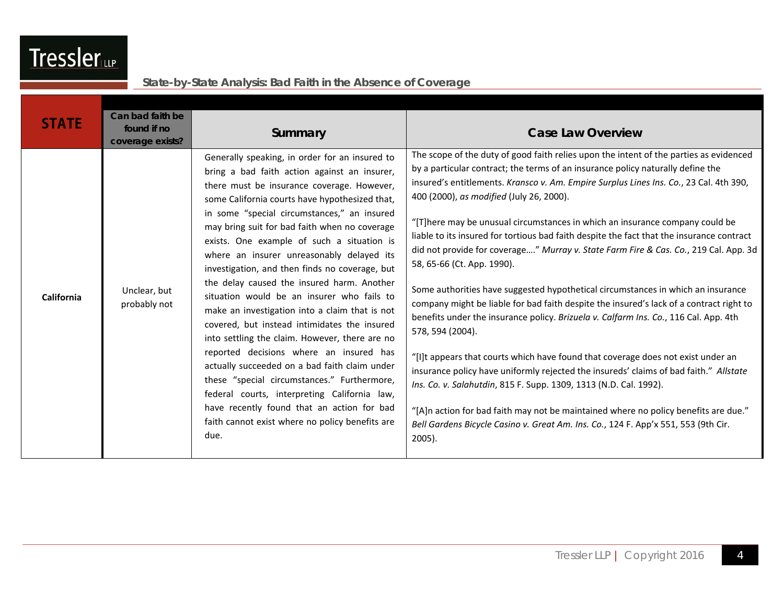| <b>STATE</b> | Can bad faith be<br>found if no<br>coverage exists? | Summary                                                                                                                                                                                                                                                                                                                                                                                                                                                                                                                                                                                                                                                                                                                                                                                                                                                                                                                                                                                         | <b>Case Law Overview</b>                                                                                                                                                                                                                                                                                                                                                                                                                                                                                                                                                                                                                                                                                                                                                                                                                                                                                                                                                                                                                                                                                                                                                                                                                                                                                                                               |
|--------------|-----------------------------------------------------|-------------------------------------------------------------------------------------------------------------------------------------------------------------------------------------------------------------------------------------------------------------------------------------------------------------------------------------------------------------------------------------------------------------------------------------------------------------------------------------------------------------------------------------------------------------------------------------------------------------------------------------------------------------------------------------------------------------------------------------------------------------------------------------------------------------------------------------------------------------------------------------------------------------------------------------------------------------------------------------------------|--------------------------------------------------------------------------------------------------------------------------------------------------------------------------------------------------------------------------------------------------------------------------------------------------------------------------------------------------------------------------------------------------------------------------------------------------------------------------------------------------------------------------------------------------------------------------------------------------------------------------------------------------------------------------------------------------------------------------------------------------------------------------------------------------------------------------------------------------------------------------------------------------------------------------------------------------------------------------------------------------------------------------------------------------------------------------------------------------------------------------------------------------------------------------------------------------------------------------------------------------------------------------------------------------------------------------------------------------------|
| California   | Unclear, but<br>probably not                        | Generally speaking, in order for an insured to<br>bring a bad faith action against an insurer,<br>there must be insurance coverage. However,<br>some California courts have hypothesized that,<br>in some "special circumstances," an insured<br>may bring suit for bad faith when no coverage<br>exists. One example of such a situation is<br>where an insurer unreasonably delayed its<br>investigation, and then finds no coverage, but<br>the delay caused the insured harm. Another<br>situation would be an insurer who fails to<br>make an investigation into a claim that is not<br>covered, but instead intimidates the insured<br>into settling the claim. However, there are no<br>reported decisions where an insured has<br>actually succeeded on a bad faith claim under<br>these "special circumstances." Furthermore,<br>federal courts, interpreting California law,<br>have recently found that an action for bad<br>faith cannot exist where no policy benefits are<br>due. | The scope of the duty of good faith relies upon the intent of the parties as evidenced<br>by a particular contract; the terms of an insurance policy naturally define the<br>insured's entitlements. Kransco v. Am. Empire Surplus Lines Ins. Co., 23 Cal. 4th 390,<br>400 (2000), as modified (July 26, 2000).<br>"[T]here may be unusual circumstances in which an insurance company could be<br>liable to its insured for tortious bad faith despite the fact that the insurance contract<br>did not provide for coverage" Murray v. State Farm Fire & Cas. Co., 219 Cal. App. 3d<br>58, 65-66 (Ct. App. 1990).<br>Some authorities have suggested hypothetical circumstances in which an insurance<br>company might be liable for bad faith despite the insured's lack of a contract right to<br>benefits under the insurance policy. Brizuela v. Calfarm Ins. Co., 116 Cal. App. 4th<br>578, 594 (2004).<br>"[I]t appears that courts which have found that coverage does not exist under an<br>insurance policy have uniformly rejected the insureds' claims of bad faith." Allstate<br>Ins. Co. v. Salahutdin, 815 F. Supp. 1309, 1313 (N.D. Cal. 1992).<br>"[A]n action for bad faith may not be maintained where no policy benefits are due."<br>Bell Gardens Bicycle Casino v. Great Am. Ins. Co., 124 F. App'x 551, 553 (9th Cir.<br>2005). |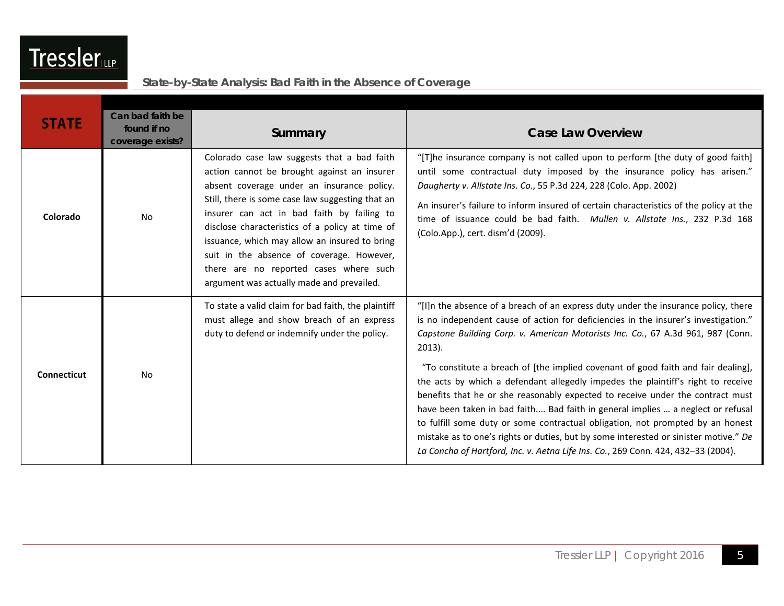| <b>STATE</b>       | Can bad faith be<br>found if no<br>coverage exists? | Summary                                                                                                                                                                                                                                                                                                                                                                                                                                                                            | <b>Case Law Overview</b>                                                                                                                                                                                                                                                                                                                                                                                                                                                                                                                                                                                                                                                                                                                                                                                                                                                               |
|--------------------|-----------------------------------------------------|------------------------------------------------------------------------------------------------------------------------------------------------------------------------------------------------------------------------------------------------------------------------------------------------------------------------------------------------------------------------------------------------------------------------------------------------------------------------------------|----------------------------------------------------------------------------------------------------------------------------------------------------------------------------------------------------------------------------------------------------------------------------------------------------------------------------------------------------------------------------------------------------------------------------------------------------------------------------------------------------------------------------------------------------------------------------------------------------------------------------------------------------------------------------------------------------------------------------------------------------------------------------------------------------------------------------------------------------------------------------------------|
| Colorado           | <b>No</b>                                           | Colorado case law suggests that a bad faith<br>action cannot be brought against an insurer<br>absent coverage under an insurance policy.<br>Still, there is some case law suggesting that an<br>insurer can act in bad faith by failing to<br>disclose characteristics of a policy at time of<br>issuance, which may allow an insured to bring<br>suit in the absence of coverage. However,<br>there are no reported cases where such<br>argument was actually made and prevailed. | "[T]he insurance company is not called upon to perform [the duty of good faith]<br>until some contractual duty imposed by the insurance policy has arisen."<br>Daugherty v. Allstate Ins. Co., 55 P.3d 224, 228 (Colo. App. 2002)<br>An insurer's failure to inform insured of certain characteristics of the policy at the<br>time of issuance could be bad faith. Mullen v. Allstate Ins., 232 P.3d 168<br>(Colo.App.), cert. dism'd (2009).                                                                                                                                                                                                                                                                                                                                                                                                                                         |
| <b>Connecticut</b> | No                                                  | To state a valid claim for bad faith, the plaintiff<br>must allege and show breach of an express<br>duty to defend or indemnify under the policy.                                                                                                                                                                                                                                                                                                                                  | "[I]n the absence of a breach of an express duty under the insurance policy, there<br>is no independent cause of action for deficiencies in the insurer's investigation."<br>Capstone Building Corp. v. American Motorists Inc. Co., 67 A.3d 961, 987 (Conn.<br>$2013$ ).<br>"To constitute a breach of [the implied covenant of good faith and fair dealing],<br>the acts by which a defendant allegedly impedes the plaintiff's right to receive<br>benefits that he or she reasonably expected to receive under the contract must<br>have been taken in bad faith Bad faith in general implies  a neglect or refusal<br>to fulfill some duty or some contractual obligation, not prompted by an honest<br>mistake as to one's rights or duties, but by some interested or sinister motive." De<br>La Concha of Hartford, Inc. v. Aetna Life Ins. Co., 269 Conn. 424, 432-33 (2004). |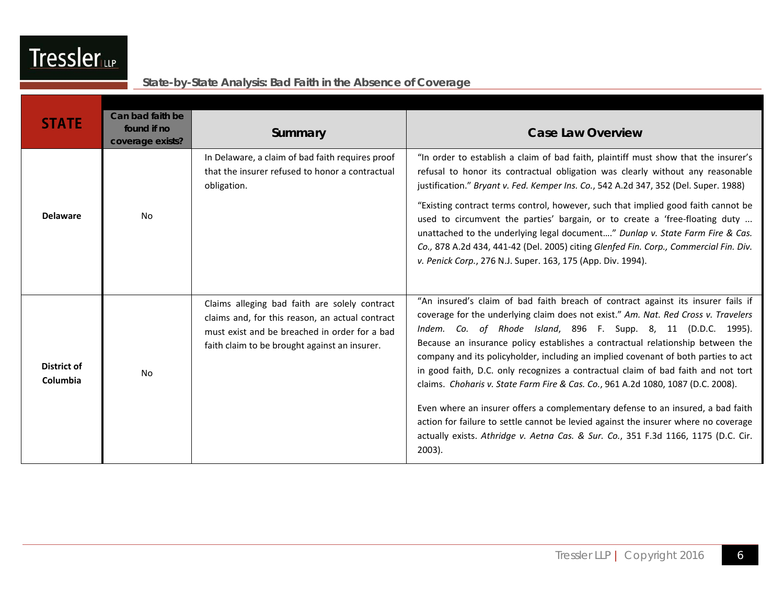| ssle<br>I<br>Ir | d (pr |
|-----------------|-------|
|                 |       |

| <b>STATE</b>            | Can bad faith be<br>found if no<br>coverage exists? | Summary                                                                                                                                                                                            | <b>Case Law Overview</b>                                                                                                                                                                                                                                                                                                                                                                                                                                                                                                                                                                                                                                                                                                                                                                                                                                              |
|-------------------------|-----------------------------------------------------|----------------------------------------------------------------------------------------------------------------------------------------------------------------------------------------------------|-----------------------------------------------------------------------------------------------------------------------------------------------------------------------------------------------------------------------------------------------------------------------------------------------------------------------------------------------------------------------------------------------------------------------------------------------------------------------------------------------------------------------------------------------------------------------------------------------------------------------------------------------------------------------------------------------------------------------------------------------------------------------------------------------------------------------------------------------------------------------|
| <b>Delaware</b>         | No                                                  | In Delaware, a claim of bad faith requires proof<br>that the insurer refused to honor a contractual<br>obligation.                                                                                 | "In order to establish a claim of bad faith, plaintiff must show that the insurer's<br>refusal to honor its contractual obligation was clearly without any reasonable<br>justification." Bryant v. Fed. Kemper Ins. Co., 542 A.2d 347, 352 (Del. Super. 1988)<br>"Existing contract terms control, however, such that implied good faith cannot be<br>used to circumvent the parties' bargain, or to create a 'free-floating duty<br>unattached to the underlying legal document" Dunlap v. State Farm Fire & Cas.<br>Co., 878 A.2d 434, 441-42 (Del. 2005) citing Glenfed Fin. Corp., Commercial Fin. Div.<br>v. Penick Corp., 276 N.J. Super. 163, 175 (App. Div. 1994).                                                                                                                                                                                            |
| District of<br>Columbia | No                                                  | Claims alleging bad faith are solely contract<br>claims and, for this reason, an actual contract<br>must exist and be breached in order for a bad<br>faith claim to be brought against an insurer. | "An insured's claim of bad faith breach of contract against its insurer fails if<br>coverage for the underlying claim does not exist." Am. Nat. Red Cross v. Travelers<br>Indem. Co. of Rhode Island, 896 F. Supp. 8, 11 (D.D.C. 1995).<br>Because an insurance policy establishes a contractual relationship between the<br>company and its policyholder, including an implied covenant of both parties to act<br>in good faith, D.C. only recognizes a contractual claim of bad faith and not tort<br>claims. Choharis v. State Farm Fire & Cas. Co., 961 A.2d 1080, 1087 (D.C. 2008).<br>Even where an insurer offers a complementary defense to an insured, a bad faith<br>action for failure to settle cannot be levied against the insurer where no coverage<br>actually exists. Athridge v. Aetna Cas. & Sur. Co., 351 F.3d 1166, 1175 (D.C. Cir.<br>$2003$ ). |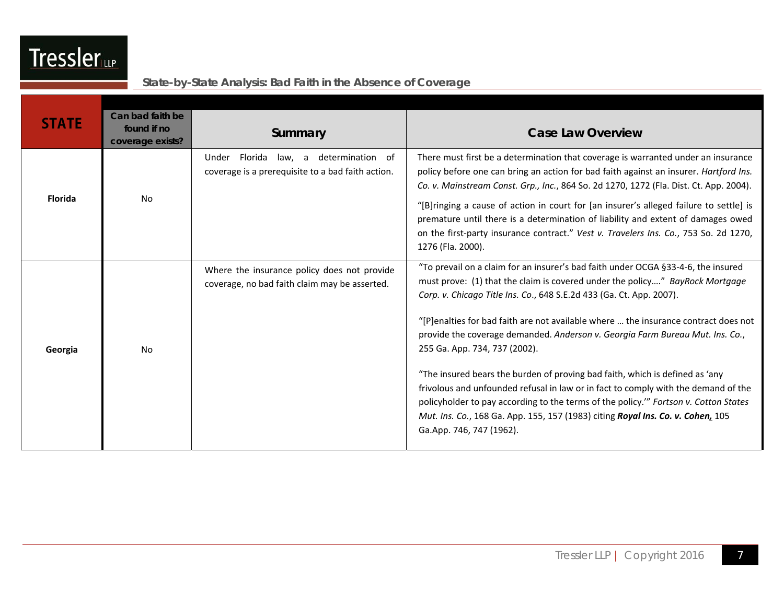| <b>STATE</b>   | Can bad faith be<br>found if no | Summary                                                                                      | <b>Case Law Overview</b>                                                                                                                                                                                                                                                                                                                                                                                                                                                                                                                                                                                                                                                                                                                                                                                                        |
|----------------|---------------------------------|----------------------------------------------------------------------------------------------|---------------------------------------------------------------------------------------------------------------------------------------------------------------------------------------------------------------------------------------------------------------------------------------------------------------------------------------------------------------------------------------------------------------------------------------------------------------------------------------------------------------------------------------------------------------------------------------------------------------------------------------------------------------------------------------------------------------------------------------------------------------------------------------------------------------------------------|
|                | coverage exists?                |                                                                                              |                                                                                                                                                                                                                                                                                                                                                                                                                                                                                                                                                                                                                                                                                                                                                                                                                                 |
|                |                                 | Under Florida law, a determination of<br>coverage is a prerequisite to a bad faith action.   | There must first be a determination that coverage is warranted under an insurance<br>policy before one can bring an action for bad faith against an insurer. Hartford Ins.<br>Co. v. Mainstream Const. Grp., Inc., 864 So. 2d 1270, 1272 (Fla. Dist. Ct. App. 2004).                                                                                                                                                                                                                                                                                                                                                                                                                                                                                                                                                            |
| <b>Florida</b> | <b>No</b>                       |                                                                                              | "[B]ringing a cause of action in court for [an insurer's alleged failure to settle] is<br>premature until there is a determination of liability and extent of damages owed<br>on the first-party insurance contract." Vest v. Travelers Ins. Co., 753 So. 2d 1270,<br>1276 (Fla. 2000).                                                                                                                                                                                                                                                                                                                                                                                                                                                                                                                                         |
| Georgia        | <b>No</b>                       | Where the insurance policy does not provide<br>coverage, no bad faith claim may be asserted. | "To prevail on a claim for an insurer's bad faith under OCGA §33-4-6, the insured<br>must prove: (1) that the claim is covered under the policy" BayRock Mortgage<br>Corp. v. Chicago Title Ins. Co., 648 S.E.2d 433 (Ga. Ct. App. 2007).<br>"[P]enalties for bad faith are not available where  the insurance contract does not<br>provide the coverage demanded. Anderson v. Georgia Farm Bureau Mut. Ins. Co.,<br>255 Ga. App. 734, 737 (2002).<br>"The insured bears the burden of proving bad faith, which is defined as 'any<br>frivolous and unfounded refusal in law or in fact to comply with the demand of the<br>policyholder to pay according to the terms of the policy."" Fortson v. Cotton States<br>Mut. Ins. Co., 168 Ga. App. 155, 157 (1983) citing Royal Ins. Co. v. Cohen, 105<br>Ga.App. 746, 747 (1962). |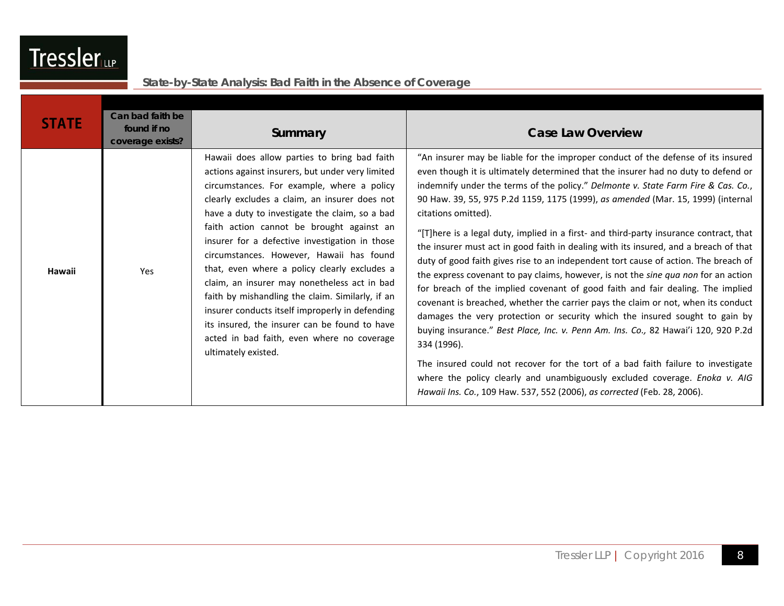| <b>STATE</b> | Can bad faith be<br>found if no<br>coverage exists? | Summary                                                                                                                                                                                                                                                                                                                                                                                                                                                                                                                                                                                                                                                                                                                   | <b>Case Law Overview</b>                                                                                                                                                                                                                                                                                                                                                                                                                                                                                                                                                                                                                                                                                                                                                                                                                                                                                                                                                                                                                                                                                                                                                                                                                                                                                                                      |
|--------------|-----------------------------------------------------|---------------------------------------------------------------------------------------------------------------------------------------------------------------------------------------------------------------------------------------------------------------------------------------------------------------------------------------------------------------------------------------------------------------------------------------------------------------------------------------------------------------------------------------------------------------------------------------------------------------------------------------------------------------------------------------------------------------------------|-----------------------------------------------------------------------------------------------------------------------------------------------------------------------------------------------------------------------------------------------------------------------------------------------------------------------------------------------------------------------------------------------------------------------------------------------------------------------------------------------------------------------------------------------------------------------------------------------------------------------------------------------------------------------------------------------------------------------------------------------------------------------------------------------------------------------------------------------------------------------------------------------------------------------------------------------------------------------------------------------------------------------------------------------------------------------------------------------------------------------------------------------------------------------------------------------------------------------------------------------------------------------------------------------------------------------------------------------|
| Hawaii       | Yes                                                 | Hawaii does allow parties to bring bad faith<br>actions against insurers, but under very limited<br>circumstances. For example, where a policy<br>clearly excludes a claim, an insurer does not<br>have a duty to investigate the claim, so a bad<br>faith action cannot be brought against an<br>insurer for a defective investigation in those<br>circumstances. However, Hawaii has found<br>that, even where a policy clearly excludes a<br>claim, an insurer may nonetheless act in bad<br>faith by mishandling the claim. Similarly, if an<br>insurer conducts itself improperly in defending<br>its insured, the insurer can be found to have<br>acted in bad faith, even where no coverage<br>ultimately existed. | "An insurer may be liable for the improper conduct of the defense of its insured<br>even though it is ultimately determined that the insurer had no duty to defend or<br>indemnify under the terms of the policy." Delmonte v. State Farm Fire & Cas. Co.,<br>90 Haw. 39, 55, 975 P.2d 1159, 1175 (1999), as amended (Mar. 15, 1999) (internal<br>citations omitted).<br>"[T]here is a legal duty, implied in a first- and third-party insurance contract, that<br>the insurer must act in good faith in dealing with its insured, and a breach of that<br>duty of good faith gives rise to an independent tort cause of action. The breach of<br>the express covenant to pay claims, however, is not the sine qua non for an action<br>for breach of the implied covenant of good faith and fair dealing. The implied<br>covenant is breached, whether the carrier pays the claim or not, when its conduct<br>damages the very protection or security which the insured sought to gain by<br>buying insurance." Best Place, Inc. v. Penn Am. Ins. Co., 82 Hawai'i 120, 920 P.2d<br>334 (1996).<br>The insured could not recover for the tort of a bad faith failure to investigate<br>where the policy clearly and unambiguously excluded coverage. Enoka v. AIG<br>Hawaii Ins. Co., 109 Haw. 537, 552 (2006), as corrected (Feb. 28, 2006). |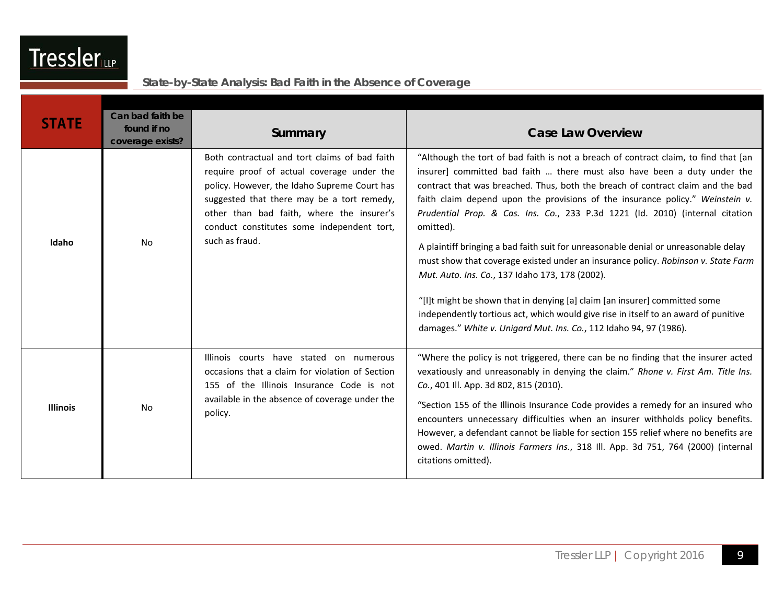| <b>STATE</b>    | Can bad faith be<br>found if no<br>coverage exists? | Summary                                                                                                                                                                                                                                                                                                | <b>Case Law Overview</b>                                                                                                                                                                                                                                                                                                                                                                                                                                                                                                                                                                                                                                                                                                                                                                                                                                                                                    |
|-----------------|-----------------------------------------------------|--------------------------------------------------------------------------------------------------------------------------------------------------------------------------------------------------------------------------------------------------------------------------------------------------------|-------------------------------------------------------------------------------------------------------------------------------------------------------------------------------------------------------------------------------------------------------------------------------------------------------------------------------------------------------------------------------------------------------------------------------------------------------------------------------------------------------------------------------------------------------------------------------------------------------------------------------------------------------------------------------------------------------------------------------------------------------------------------------------------------------------------------------------------------------------------------------------------------------------|
| Idaho           | No                                                  | Both contractual and tort claims of bad faith<br>require proof of actual coverage under the<br>policy. However, the Idaho Supreme Court has<br>suggested that there may be a tort remedy,<br>other than bad faith, where the insurer's<br>conduct constitutes some independent tort,<br>such as fraud. | "Although the tort of bad faith is not a breach of contract claim, to find that [an<br>insurer] committed bad faith  there must also have been a duty under the<br>contract that was breached. Thus, both the breach of contract claim and the bad<br>faith claim depend upon the provisions of the insurance policy." Weinstein v.<br>Prudential Prop. & Cas. Ins. Co., 233 P.3d 1221 (Id. 2010) (internal citation<br>omitted).<br>A plaintiff bringing a bad faith suit for unreasonable denial or unreasonable delay<br>must show that coverage existed under an insurance policy. Robinson v. State Farm<br>Mut. Auto. Ins. Co., 137 Idaho 173, 178 (2002).<br>"[I]t might be shown that in denying [a] claim [an insurer] committed some<br>independently tortious act, which would give rise in itself to an award of punitive<br>damages." White v. Unigard Mut. Ins. Co., 112 Idaho 94, 97 (1986). |
| <b>Illinois</b> | <b>No</b>                                           | Illinois courts have stated on numerous<br>occasions that a claim for violation of Section<br>155 of the Illinois Insurance Code is not<br>available in the absence of coverage under the<br>policy.                                                                                                   | "Where the policy is not triggered, there can be no finding that the insurer acted<br>vexatiously and unreasonably in denying the claim." Rhone v. First Am. Title Ins.<br>Co., 401 Ill. App. 3d 802, 815 (2010).<br>"Section 155 of the Illinois Insurance Code provides a remedy for an insured who<br>encounters unnecessary difficulties when an insurer withholds policy benefits.<br>However, a defendant cannot be liable for section 155 relief where no benefits are<br>owed. Martin v. Illinois Farmers Ins., 318 Ill. App. 3d 751, 764 (2000) (internal<br>citations omitted).                                                                                                                                                                                                                                                                                                                   |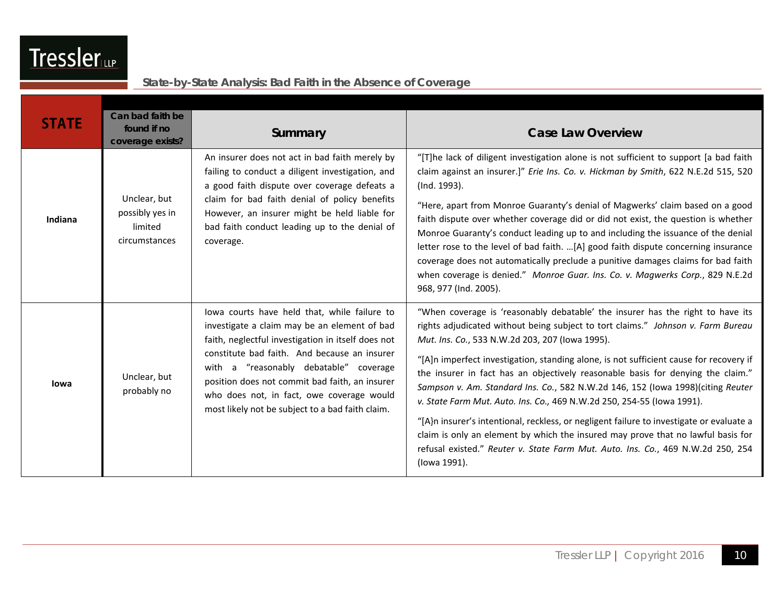| <b>STATE</b> | Can bad faith be<br>found if no<br>coverage exists?         | Summary                                                                                                                                                                                                                                                                                                                                                                                         | <b>Case Law Overview</b>                                                                                                                                                                                                                                                                                                                                                                                                                                                                                                                                                                                                                                                                                                                                                                                                                           |
|--------------|-------------------------------------------------------------|-------------------------------------------------------------------------------------------------------------------------------------------------------------------------------------------------------------------------------------------------------------------------------------------------------------------------------------------------------------------------------------------------|----------------------------------------------------------------------------------------------------------------------------------------------------------------------------------------------------------------------------------------------------------------------------------------------------------------------------------------------------------------------------------------------------------------------------------------------------------------------------------------------------------------------------------------------------------------------------------------------------------------------------------------------------------------------------------------------------------------------------------------------------------------------------------------------------------------------------------------------------|
| Indiana      | Unclear, but<br>possibly yes in<br>limited<br>circumstances | An insurer does not act in bad faith merely by<br>failing to conduct a diligent investigation, and<br>a good faith dispute over coverage defeats a<br>claim for bad faith denial of policy benefits<br>However, an insurer might be held liable for<br>bad faith conduct leading up to the denial of<br>coverage.                                                                               | "[T]he lack of diligent investigation alone is not sufficient to support [a bad faith<br>claim against an insurer.]" Erie Ins. Co. v. Hickman by Smith, 622 N.E.2d 515, 520<br>(Ind. 1993).<br>"Here, apart from Monroe Guaranty's denial of Magwerks' claim based on a good<br>faith dispute over whether coverage did or did not exist, the question is whether<br>Monroe Guaranty's conduct leading up to and including the issuance of the denial<br>letter rose to the level of bad faith. [A] good faith dispute concerning insurance<br>coverage does not automatically preclude a punitive damages claims for bad faith<br>when coverage is denied." Monroe Guar. Ins. Co. v. Magwerks Corp., 829 N.E.2d<br>968, 977 (Ind. 2005).                                                                                                          |
| lowa         | Unclear, but<br>probably no                                 | lowa courts have held that, while failure to<br>investigate a claim may be an element of bad<br>faith, neglectful investigation in itself does not<br>constitute bad faith. And because an insurer<br>with a "reasonably debatable" coverage<br>position does not commit bad faith, an insurer<br>who does not, in fact, owe coverage would<br>most likely not be subject to a bad faith claim. | "When coverage is 'reasonably debatable' the insurer has the right to have its<br>rights adjudicated without being subject to tort claims." Johnson v. Farm Bureau<br>Mut. Ins. Co., 533 N.W.2d 203, 207 (Iowa 1995).<br>"[A]n imperfect investigation, standing alone, is not sufficient cause for recovery if<br>the insurer in fact has an objectively reasonable basis for denying the claim."<br>Sampson v. Am. Standard Ins. Co., 582 N.W.2d 146, 152 (lowa 1998)(citing Reuter<br>v. State Farm Mut. Auto. Ins. Co., 469 N.W.2d 250, 254-55 (lowa 1991).<br>"[A}n insurer's intentional, reckless, or negligent failure to investigate or evaluate a<br>claim is only an element by which the insured may prove that no lawful basis for<br>refusal existed." Reuter v. State Farm Mut. Auto. Ins. Co., 469 N.W.2d 250, 254<br>(lowa 1991). |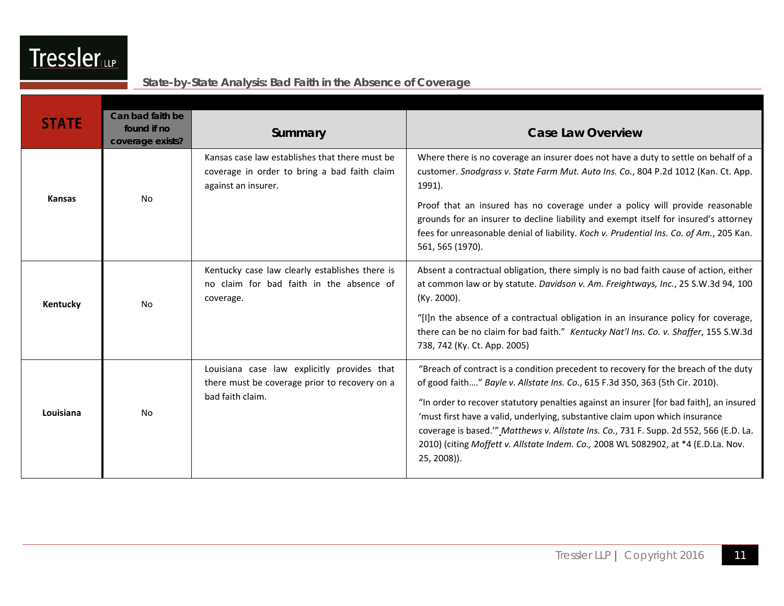| <b>STATE</b>  | Can bad faith be<br>found if no<br>coverage exists? | Summary                                                                                                               | <b>Case Law Overview</b>                                                                                                                                                                                                                                                                                                                                                                                                                                                                                                                       |
|---------------|-----------------------------------------------------|-----------------------------------------------------------------------------------------------------------------------|------------------------------------------------------------------------------------------------------------------------------------------------------------------------------------------------------------------------------------------------------------------------------------------------------------------------------------------------------------------------------------------------------------------------------------------------------------------------------------------------------------------------------------------------|
| <b>Kansas</b> | <b>No</b>                                           | Kansas case law establishes that there must be<br>coverage in order to bring a bad faith claim<br>against an insurer. | Where there is no coverage an insurer does not have a duty to settle on behalf of a<br>customer. Snodgrass v. State Farm Mut. Auto Ins. Co., 804 P.2d 1012 (Kan. Ct. App.<br>1991).<br>Proof that an insured has no coverage under a policy will provide reasonable<br>grounds for an insurer to decline liability and exempt itself for insured's attorney<br>fees for unreasonable denial of liability. Koch v. Prudential Ins. Co. of Am., 205 Kan.<br>561, 565 (1970).                                                                     |
| Kentucky      | <b>No</b>                                           | Kentucky case law clearly establishes there is<br>no claim for bad faith in the absence of<br>coverage.               | Absent a contractual obligation, there simply is no bad faith cause of action, either<br>at common law or by statute. Davidson v. Am. Freightways, Inc., 25 S.W.3d 94, 100<br>$(Ky. 2000)$ .<br>"[I]n the absence of a contractual obligation in an insurance policy for coverage,<br>there can be no claim for bad faith." Kentucky Nat'l Ins. Co. v. Shaffer, 155 S.W.3d<br>738, 742 (Ky. Ct. App. 2005)                                                                                                                                     |
| Louisiana     | <b>No</b>                                           | Louisiana case law explicitly provides that<br>there must be coverage prior to recovery on a<br>bad faith claim.      | "Breach of contract is a condition precedent to recovery for the breach of the duty<br>of good faith" Bayle v. Allstate Ins. Co., 615 F.3d 350, 363 (5th Cir. 2010).<br>"In order to recover statutory penalties against an insurer [for bad faith], an insured<br>'must first have a valid, underlying, substantive claim upon which insurance<br>coverage is based."" Matthews v. Allstate Ins. Co., 731 F. Supp. 2d 552, 566 (E.D. La.<br>2010) (citing Moffett v. Allstate Indem. Co., 2008 WL 5082902, at *4 (E.D.La. Nov.<br>25, 2008)). |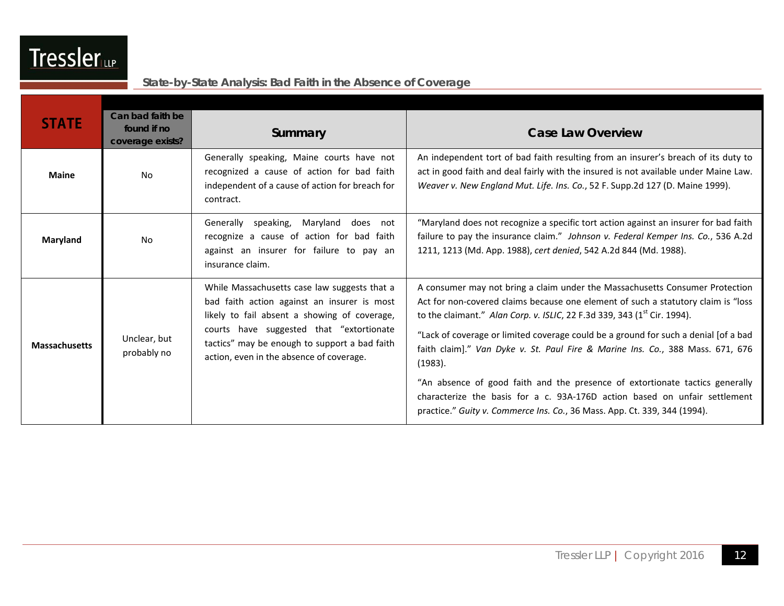| <b>STATE</b>         | Can bad faith be<br>found if no<br>coverage exists? | Summary                                                                                                                                                                                                                                                                              | <b>Case Law Overview</b>                                                                                                                                                                                                                                                                                                                                                                                                                                                                                                                                                                                                                                                        |
|----------------------|-----------------------------------------------------|--------------------------------------------------------------------------------------------------------------------------------------------------------------------------------------------------------------------------------------------------------------------------------------|---------------------------------------------------------------------------------------------------------------------------------------------------------------------------------------------------------------------------------------------------------------------------------------------------------------------------------------------------------------------------------------------------------------------------------------------------------------------------------------------------------------------------------------------------------------------------------------------------------------------------------------------------------------------------------|
| <b>Maine</b>         | <b>No</b>                                           | Generally speaking, Maine courts have not<br>recognized a cause of action for bad faith<br>independent of a cause of action for breach for<br>contract.                                                                                                                              | An independent tort of bad faith resulting from an insurer's breach of its duty to<br>act in good faith and deal fairly with the insured is not available under Maine Law.<br>Weaver v. New England Mut. Life. Ins. Co., 52 F. Supp.2d 127 (D. Maine 1999).                                                                                                                                                                                                                                                                                                                                                                                                                     |
| Maryland             | <b>No</b>                                           | Generally speaking, Maryland<br>does not<br>recognize a cause of action for bad faith<br>against an insurer for failure to pay an<br>insurance claim.                                                                                                                                | "Maryland does not recognize a specific tort action against an insurer for bad faith<br>failure to pay the insurance claim." Johnson v. Federal Kemper Ins. Co., 536 A.2d<br>1211, 1213 (Md. App. 1988), cert denied, 542 A.2d 844 (Md. 1988).                                                                                                                                                                                                                                                                                                                                                                                                                                  |
| <b>Massachusetts</b> | Unclear, but<br>probably no                         | While Massachusetts case law suggests that a<br>bad faith action against an insurer is most<br>likely to fail absent a showing of coverage,<br>courts have suggested that "extortionate<br>tactics" may be enough to support a bad faith<br>action, even in the absence of coverage. | A consumer may not bring a claim under the Massachusetts Consumer Protection<br>Act for non-covered claims because one element of such a statutory claim is "loss<br>to the claimant." Alan Corp. v. ISLIC, 22 F.3d 339, 343 ( $1st$ Cir. 1994).<br>"Lack of coverage or limited coverage could be a ground for such a denial [of a bad<br>faith claim]." Van Dyke v. St. Paul Fire & Marine Ins. Co., 388 Mass. 671, 676<br>(1983).<br>"An absence of good faith and the presence of extortionate tactics generally<br>characterize the basis for a c. 93A-176D action based on unfair settlement<br>practice." Guity v. Commerce Ins. Co., 36 Mass. App. Ct. 339, 344 (1994). |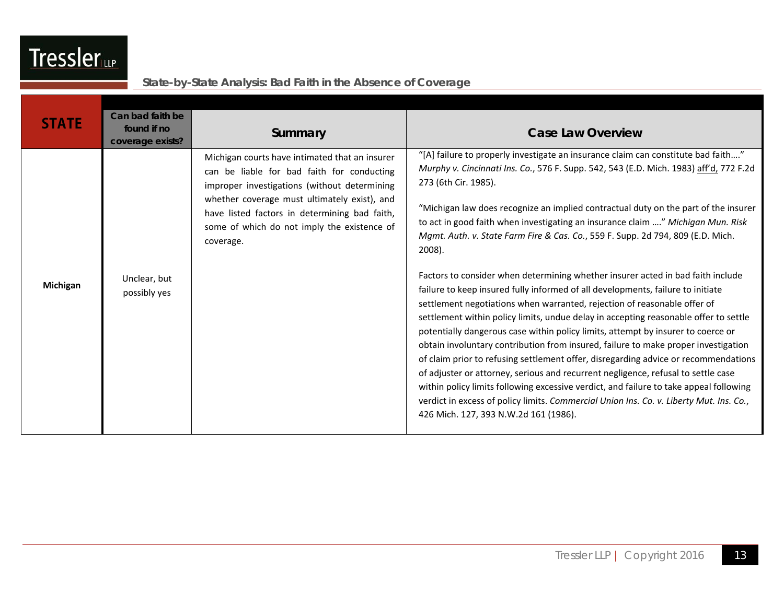| <b>STATE</b>    | Can bad faith be |                                                |                                                                                                                                                                    |
|-----------------|------------------|------------------------------------------------|--------------------------------------------------------------------------------------------------------------------------------------------------------------------|
|                 | found if no      | Summary                                        | <b>Case Law Overview</b>                                                                                                                                           |
|                 | coverage exists? |                                                |                                                                                                                                                                    |
|                 |                  | Michigan courts have intimated that an insurer | "[A] failure to properly investigate an insurance claim can constitute bad faith"                                                                                  |
|                 |                  | can be liable for bad faith for conducting     | Murphy v. Cincinnati Ins. Co., 576 F. Supp. 542, 543 (E.D. Mich. 1983) aff'd, 772 F.2d                                                                             |
|                 |                  | improper investigations (without determining   | 273 (6th Cir. 1985).                                                                                                                                               |
|                 |                  | whether coverage must ultimately exist), and   |                                                                                                                                                                    |
|                 |                  | have listed factors in determining bad faith,  | "Michigan law does recognize an implied contractual duty on the part of the insurer                                                                                |
|                 |                  | some of which do not imply the existence of    | to act in good faith when investigating an insurance claim " Michigan Mun. Risk<br>Mgmt. Auth. v. State Farm Fire & Cas. Co., 559 F. Supp. 2d 794, 809 (E.D. Mich. |
|                 |                  | coverage.                                      | 2008).                                                                                                                                                             |
|                 |                  |                                                |                                                                                                                                                                    |
|                 | Unclear, but     |                                                | Factors to consider when determining whether insurer acted in bad faith include                                                                                    |
| <b>Michigan</b> | possibly yes     |                                                | failure to keep insured fully informed of all developments, failure to initiate                                                                                    |
|                 |                  |                                                | settlement negotiations when warranted, rejection of reasonable offer of                                                                                           |
|                 |                  |                                                | settlement within policy limits, undue delay in accepting reasonable offer to settle                                                                               |
|                 |                  |                                                | potentially dangerous case within policy limits, attempt by insurer to coerce or                                                                                   |
|                 |                  |                                                | obtain involuntary contribution from insured, failure to make proper investigation                                                                                 |
|                 |                  |                                                | of claim prior to refusing settlement offer, disregarding advice or recommendations                                                                                |
|                 |                  |                                                | of adjuster or attorney, serious and recurrent negligence, refusal to settle case                                                                                  |
|                 |                  |                                                | within policy limits following excessive verdict, and failure to take appeal following                                                                             |
|                 |                  |                                                | verdict in excess of policy limits. Commercial Union Ins. Co. v. Liberty Mut. Ins. Co.,                                                                            |
|                 |                  |                                                | 426 Mich. 127, 393 N.W.2d 161 (1986).                                                                                                                              |
|                 |                  |                                                |                                                                                                                                                                    |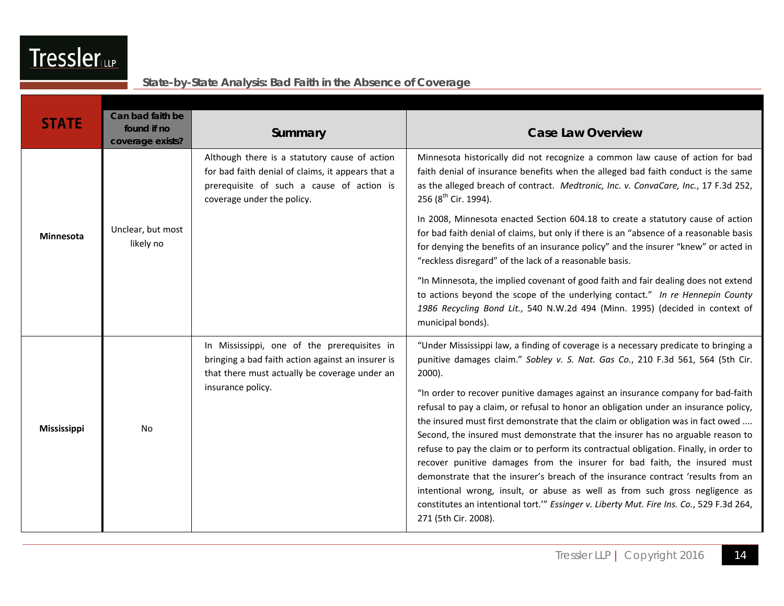| <b>STATE</b>       | Can bad faith be<br>found if no<br>coverage exists? | Summary                                                                                                                                                                       | <b>Case Law Overview</b>                                                                                                                                                                                                                                                                                                                                                                                                                                                                                                                                                                                                                                                                                                                                                                                                                                                                                                                                                                               |
|--------------------|-----------------------------------------------------|-------------------------------------------------------------------------------------------------------------------------------------------------------------------------------|--------------------------------------------------------------------------------------------------------------------------------------------------------------------------------------------------------------------------------------------------------------------------------------------------------------------------------------------------------------------------------------------------------------------------------------------------------------------------------------------------------------------------------------------------------------------------------------------------------------------------------------------------------------------------------------------------------------------------------------------------------------------------------------------------------------------------------------------------------------------------------------------------------------------------------------------------------------------------------------------------------|
| <b>Minnesota</b>   |                                                     | Although there is a statutory cause of action<br>for bad faith denial of claims, it appears that a<br>prerequisite of such a cause of action is<br>coverage under the policy. | Minnesota historically did not recognize a common law cause of action for bad<br>faith denial of insurance benefits when the alleged bad faith conduct is the same<br>as the alleged breach of contract. Medtronic, Inc. v. ConvaCare, Inc., 17 F.3d 252,<br>256 (8 <sup>th</sup> Cir. 1994).                                                                                                                                                                                                                                                                                                                                                                                                                                                                                                                                                                                                                                                                                                          |
|                    | Unclear, but most<br>likely no                      |                                                                                                                                                                               | In 2008, Minnesota enacted Section 604.18 to create a statutory cause of action<br>for bad faith denial of claims, but only if there is an "absence of a reasonable basis<br>for denying the benefits of an insurance policy" and the insurer "knew" or acted in<br>"reckless disregard" of the lack of a reasonable basis.                                                                                                                                                                                                                                                                                                                                                                                                                                                                                                                                                                                                                                                                            |
|                    |                                                     |                                                                                                                                                                               | "In Minnesota, the implied covenant of good faith and fair dealing does not extend<br>to actions beyond the scope of the underlying contact." In re Hennepin County<br>1986 Recycling Bond Lit., 540 N.W.2d 494 (Minn. 1995) (decided in context of<br>municipal bonds).                                                                                                                                                                                                                                                                                                                                                                                                                                                                                                                                                                                                                                                                                                                               |
| <b>Mississippi</b> | <b>No</b>                                           | In Mississippi, one of the prerequisites in<br>bringing a bad faith action against an insurer is<br>that there must actually be coverage under an<br>insurance policy.        | "Under Mississippi law, a finding of coverage is a necessary predicate to bringing a<br>punitive damages claim." Sobley v. S. Nat. Gas Co., 210 F.3d 561, 564 (5th Cir.<br>$2000$ ).<br>"In order to recover punitive damages against an insurance company for bad-faith<br>refusal to pay a claim, or refusal to honor an obligation under an insurance policy,<br>the insured must first demonstrate that the claim or obligation was in fact owed<br>Second, the insured must demonstrate that the insurer has no arguable reason to<br>refuse to pay the claim or to perform its contractual obligation. Finally, in order to<br>recover punitive damages from the insurer for bad faith, the insured must<br>demonstrate that the insurer's breach of the insurance contract 'results from an<br>intentional wrong, insult, or abuse as well as from such gross negligence as<br>constitutes an intentional tort."" Essinger v. Liberty Mut. Fire Ins. Co., 529 F.3d 264,<br>271 (5th Cir. 2008). |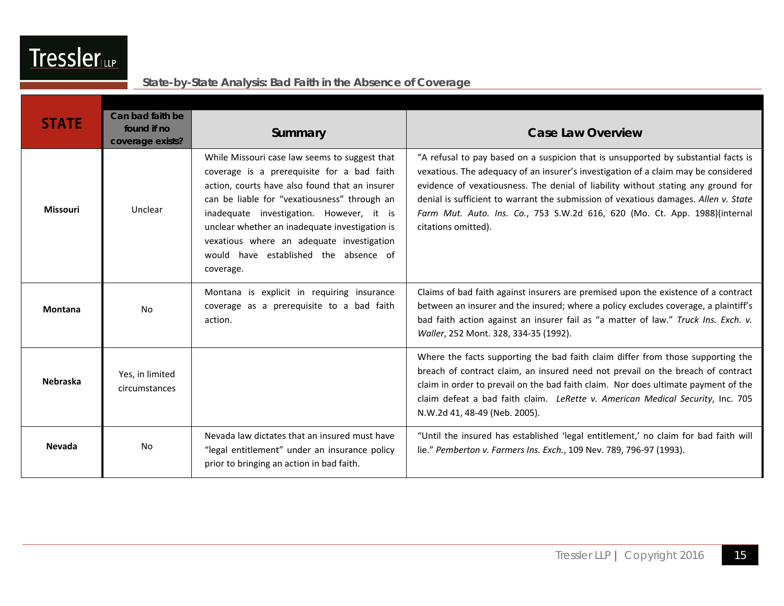| <b>STATE</b>    | Can bad faith be<br>found if no<br>coverage exists? | Summary                                                                                                                                                                                                                                                                                                                                                                                        | <b>Case Law Overview</b>                                                                                                                                                                                                                                                                                                                                                                                                                                  |
|-----------------|-----------------------------------------------------|------------------------------------------------------------------------------------------------------------------------------------------------------------------------------------------------------------------------------------------------------------------------------------------------------------------------------------------------------------------------------------------------|-----------------------------------------------------------------------------------------------------------------------------------------------------------------------------------------------------------------------------------------------------------------------------------------------------------------------------------------------------------------------------------------------------------------------------------------------------------|
| <b>Missouri</b> | Unclear                                             | While Missouri case law seems to suggest that<br>coverage is a prerequisite for a bad faith<br>action, courts have also found that an insurer<br>can be liable for "vexatiousness" through an<br>inadequate investigation. However, it is<br>unclear whether an inadequate investigation is<br>vexatious where an adequate investigation<br>would have established the absence of<br>coverage. | "A refusal to pay based on a suspicion that is unsupported by substantial facts is<br>vexatious. The adequacy of an insurer's investigation of a claim may be considered<br>evidence of vexatiousness. The denial of liability without stating any ground for<br>denial is sufficient to warrant the submission of vexatious damages. Allen v. State<br>Farm Mut. Auto. Ins. Co., 753 S.W.2d 616, 620 (Mo. Ct. App. 1988)(internal<br>citations omitted). |
| <b>Montana</b>  | No                                                  | Montana is explicit in requiring insurance<br>coverage as a prerequisite to a bad faith<br>action.                                                                                                                                                                                                                                                                                             | Claims of bad faith against insurers are premised upon the existence of a contract<br>between an insurer and the insured; where a policy excludes coverage, a plaintiff's<br>bad faith action against an insurer fail as "a matter of law." Truck Ins. Exch. v.<br>Waller, 252 Mont. 328, 334-35 (1992).                                                                                                                                                  |
| <b>Nebraska</b> | Yes, in limited<br>circumstances                    |                                                                                                                                                                                                                                                                                                                                                                                                | Where the facts supporting the bad faith claim differ from those supporting the<br>breach of contract claim, an insured need not prevail on the breach of contract<br>claim in order to prevail on the bad faith claim. Nor does ultimate payment of the<br>claim defeat a bad faith claim. LeRette v. American Medical Security, Inc. 705<br>N.W.2d 41, 48-49 (Neb. 2005).                                                                               |
| <b>Nevada</b>   | <b>No</b>                                           | Nevada law dictates that an insured must have<br>"legal entitlement" under an insurance policy<br>prior to bringing an action in bad faith.                                                                                                                                                                                                                                                    | "Until the insured has established 'legal entitlement,' no claim for bad faith will<br>lie." Pemberton v. Farmers Ins. Exch., 109 Nev. 789, 796-97 (1993).                                                                                                                                                                                                                                                                                                |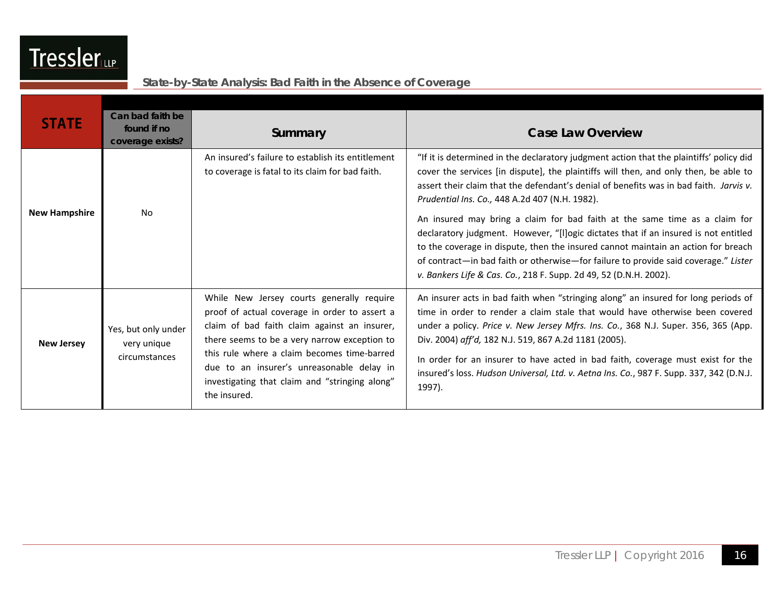

| <b>STATE</b>         | Can bad faith be<br>found if no<br>coverage exists? | Summary                                                                                                                                                                                                                                                                                                                                                  | <b>Case Law Overview</b>                                                                                                                                                                                                                                                                                                                                                                                                                                                                                                                                                                                                                                                                                                                          |
|----------------------|-----------------------------------------------------|----------------------------------------------------------------------------------------------------------------------------------------------------------------------------------------------------------------------------------------------------------------------------------------------------------------------------------------------------------|---------------------------------------------------------------------------------------------------------------------------------------------------------------------------------------------------------------------------------------------------------------------------------------------------------------------------------------------------------------------------------------------------------------------------------------------------------------------------------------------------------------------------------------------------------------------------------------------------------------------------------------------------------------------------------------------------------------------------------------------------|
| <b>New Hampshire</b> | <b>No</b>                                           | An insured's failure to establish its entitlement<br>to coverage is fatal to its claim for bad faith.                                                                                                                                                                                                                                                    | "If it is determined in the declaratory judgment action that the plaintiffs' policy did<br>cover the services [in dispute], the plaintiffs will then, and only then, be able to<br>assert their claim that the defendant's denial of benefits was in bad faith. Jarvis v.<br>Prudential Ins. Co., 448 A.2d 407 (N.H. 1982).<br>An insured may bring a claim for bad faith at the same time as a claim for<br>declaratory judgment. However, "[I]ogic dictates that if an insured is not entitled<br>to the coverage in dispute, then the insured cannot maintain an action for breach<br>of contract—in bad faith or otherwise—for failure to provide said coverage." Lister<br>v. Bankers Life & Cas. Co., 218 F. Supp. 2d 49, 52 (D.N.H. 2002). |
| <b>New Jersey</b>    | Yes, but only under<br>very unique<br>circumstances | While New Jersey courts generally require<br>proof of actual coverage in order to assert a<br>claim of bad faith claim against an insurer,<br>there seems to be a very narrow exception to<br>this rule where a claim becomes time-barred<br>due to an insurer's unreasonable delay in<br>investigating that claim and "stringing along"<br>the insured. | An insurer acts in bad faith when "stringing along" an insured for long periods of<br>time in order to render a claim stale that would have otherwise been covered<br>under a policy. Price v. New Jersey Mfrs. Ins. Co., 368 N.J. Super. 356, 365 (App.<br>Div. 2004) aff'd, 182 N.J. 519, 867 A.2d 1181 (2005).<br>In order for an insurer to have acted in bad faith, coverage must exist for the<br>insured's loss. Hudson Universal, Ltd. v. Aetna Ins. Co., 987 F. Supp. 337, 342 (D.N.J.<br>1997).                                                                                                                                                                                                                                         |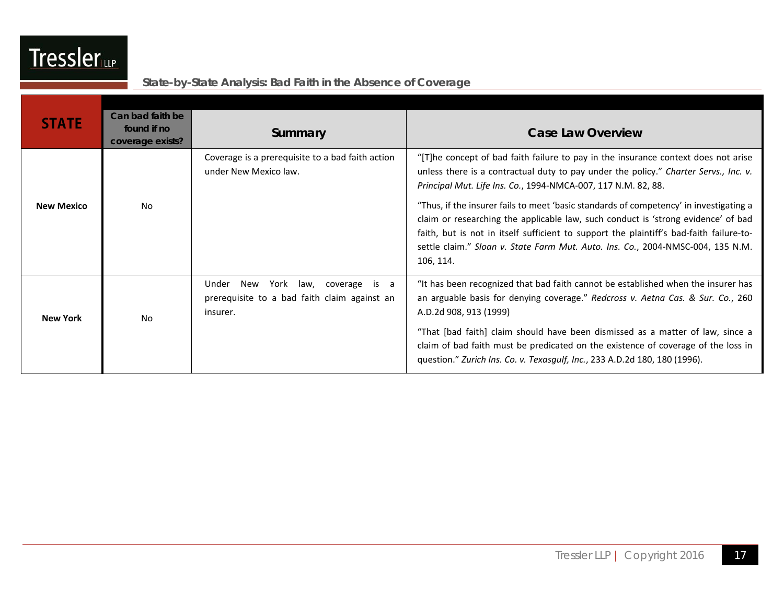| Ir | Sen. |
|----|------|
|    |      |

| <b>STATE</b>      | Can bad faith be<br>found if no<br>coverage exists? | Summary                                                                                             | <b>Case Law Overview</b>                                                                                                                                                                                                                                                                                                                                               |
|-------------------|-----------------------------------------------------|-----------------------------------------------------------------------------------------------------|------------------------------------------------------------------------------------------------------------------------------------------------------------------------------------------------------------------------------------------------------------------------------------------------------------------------------------------------------------------------|
|                   |                                                     | Coverage is a prerequisite to a bad faith action<br>under New Mexico law.                           | "[T]he concept of bad faith failure to pay in the insurance context does not arise<br>unless there is a contractual duty to pay under the policy." Charter Servs., Inc. v.<br>Principal Mut. Life Ins. Co., 1994-NMCA-007, 117 N.M. 82, 88.                                                                                                                            |
| <b>New Mexico</b> | No.                                                 |                                                                                                     | "Thus, if the insurer fails to meet 'basic standards of competency' in investigating a<br>claim or researching the applicable law, such conduct is 'strong evidence' of bad<br>faith, but is not in itself sufficient to support the plaintiff's bad-faith failure-to-<br>settle claim." Sloan v. State Farm Mut. Auto. Ins. Co., 2004-NMSC-004, 135 N.M.<br>106, 114. |
| <b>New York</b>   | No.                                                 | Under<br>York law, coverage is a<br>New<br>prerequisite to a bad faith claim against an<br>insurer. | "It has been recognized that bad faith cannot be established when the insurer has<br>an arguable basis for denying coverage." Redcross v. Aetna Cas. & Sur. Co., 260<br>A.D.2d 908, 913 (1999)                                                                                                                                                                         |
|                   |                                                     |                                                                                                     | "That [bad faith] claim should have been dismissed as a matter of law, since a<br>claim of bad faith must be predicated on the existence of coverage of the loss in<br>question." Zurich Ins. Co. v. Texasgulf, Inc., 233 A.D.2d 180, 180 (1996).                                                                                                                      |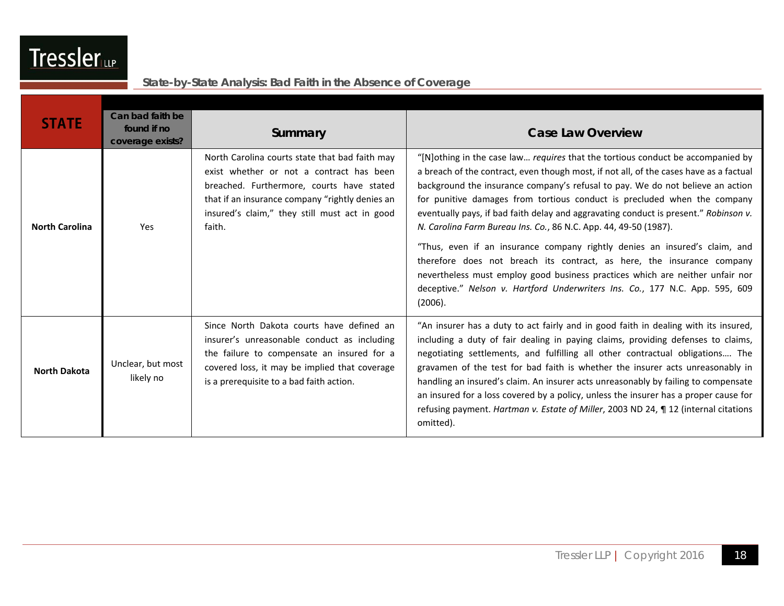| <b>STATE</b>          | Can bad faith be<br>found if no<br>coverage exists? | Summary                                                                                                                                                                                                                                               | <b>Case Law Overview</b>                                                                                                                                                                                                                                                                                                                                                                                                                                                                                                                                                                                                                                                                                                                                                                                                                |
|-----------------------|-----------------------------------------------------|-------------------------------------------------------------------------------------------------------------------------------------------------------------------------------------------------------------------------------------------------------|-----------------------------------------------------------------------------------------------------------------------------------------------------------------------------------------------------------------------------------------------------------------------------------------------------------------------------------------------------------------------------------------------------------------------------------------------------------------------------------------------------------------------------------------------------------------------------------------------------------------------------------------------------------------------------------------------------------------------------------------------------------------------------------------------------------------------------------------|
| <b>North Carolina</b> | Yes                                                 | North Carolina courts state that bad faith may<br>exist whether or not a contract has been<br>breached. Furthermore, courts have stated<br>that if an insurance company "rightly denies an<br>insured's claim," they still must act in good<br>faith. | "[N]othing in the case law requires that the tortious conduct be accompanied by<br>a breach of the contract, even though most, if not all, of the cases have as a factual<br>background the insurance company's refusal to pay. We do not believe an action<br>for punitive damages from tortious conduct is precluded when the company<br>eventually pays, if bad faith delay and aggravating conduct is present." Robinson v.<br>N. Carolina Farm Bureau Ins. Co., 86 N.C. App. 44, 49-50 (1987).<br>"Thus, even if an insurance company rightly denies an insured's claim, and<br>therefore does not breach its contract, as here, the insurance company<br>nevertheless must employ good business practices which are neither unfair nor<br>deceptive." Nelson v. Hartford Underwriters Ins. Co., 177 N.C. App. 595, 609<br>(2006). |
| <b>North Dakota</b>   | Unclear, but most<br>likely no                      | Since North Dakota courts have defined an<br>insurer's unreasonable conduct as including<br>the failure to compensate an insured for a<br>covered loss, it may be implied that coverage<br>is a prerequisite to a bad faith action.                   | "An insurer has a duty to act fairly and in good faith in dealing with its insured,<br>including a duty of fair dealing in paying claims, providing defenses to claims,<br>negotiating settlements, and fulfilling all other contractual obligations The<br>gravamen of the test for bad faith is whether the insurer acts unreasonably in<br>handling an insured's claim. An insurer acts unreasonably by failing to compensate<br>an insured for a loss covered by a policy, unless the insurer has a proper cause for<br>refusing payment. Hartman v. Estate of Miller, 2003 ND 24, ¶ 12 (internal citations<br>omitted).                                                                                                                                                                                                            |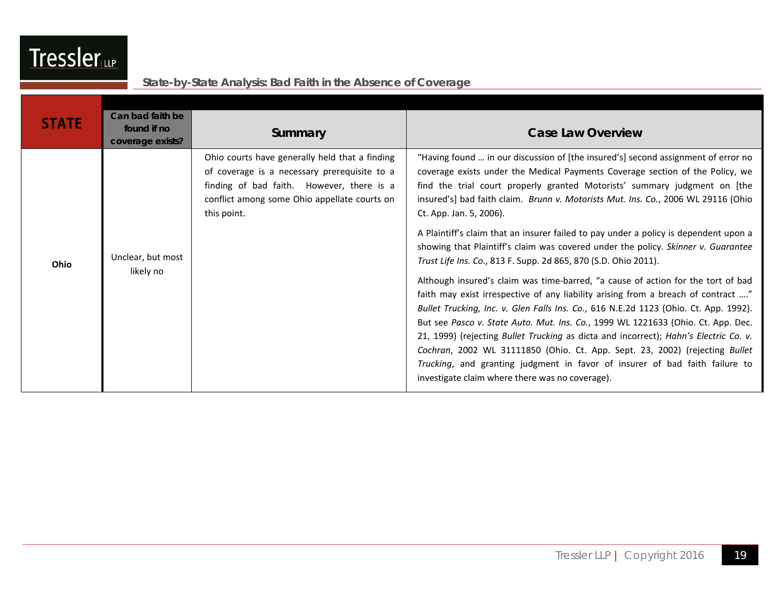| ssle<br>Γr<br>≘rա∍ |
|--------------------|
|--------------------|

| <b>STATE</b> | Can bad faith be<br>found if no<br>coverage exists? | Summary                                                                                                                                                                                                    | <b>Case Law Overview</b>                                                                                                                                                                                                                                                                                                                                                                                                                                                                                                                                                                                                                                                                                                                                                                                                                                                                                                                                                                                                                                                                                                                                                                                                                                                      |
|--------------|-----------------------------------------------------|------------------------------------------------------------------------------------------------------------------------------------------------------------------------------------------------------------|-------------------------------------------------------------------------------------------------------------------------------------------------------------------------------------------------------------------------------------------------------------------------------------------------------------------------------------------------------------------------------------------------------------------------------------------------------------------------------------------------------------------------------------------------------------------------------------------------------------------------------------------------------------------------------------------------------------------------------------------------------------------------------------------------------------------------------------------------------------------------------------------------------------------------------------------------------------------------------------------------------------------------------------------------------------------------------------------------------------------------------------------------------------------------------------------------------------------------------------------------------------------------------|
| Ohio         | Unclear, but most<br>likely no                      | Ohio courts have generally held that a finding<br>of coverage is a necessary prerequisite to a<br>finding of bad faith. However, there is a<br>conflict among some Ohio appellate courts on<br>this point. | "Having found  in our discussion of [the insured's] second assignment of error no<br>coverage exists under the Medical Payments Coverage section of the Policy, we<br>find the trial court properly granted Motorists' summary judgment on [the<br>insured's] bad faith claim. Brunn v. Motorists Mut. Ins. Co., 2006 WL 29116 (Ohio<br>Ct. App. Jan. 5, 2006).<br>A Plaintiff's claim that an insurer failed to pay under a policy is dependent upon a<br>showing that Plaintiff's claim was covered under the policy. Skinner v. Guarantee<br>Trust Life Ins. Co., 813 F. Supp. 2d 865, 870 (S.D. Ohio 2011).<br>Although insured's claim was time-barred, "a cause of action for the tort of bad<br>faith may exist irrespective of any liability arising from a breach of contract "<br>Bullet Trucking, Inc. v. Glen Falls Ins. Co., 616 N.E.2d 1123 (Ohio. Ct. App. 1992).<br>But see Pasco v. State Auto. Mut. Ins. Co., 1999 WL 1221633 (Ohio. Ct. App. Dec.<br>21, 1999) (rejecting Bullet Trucking as dicta and incorrect); Hahn's Electric Co. v.<br>Cochran, 2002 WL 31111850 (Ohio. Ct. App. Sept. 23, 2002) (rejecting Bullet<br>Trucking, and granting judgment in favor of insurer of bad faith failure to<br>investigate claim where there was no coverage). |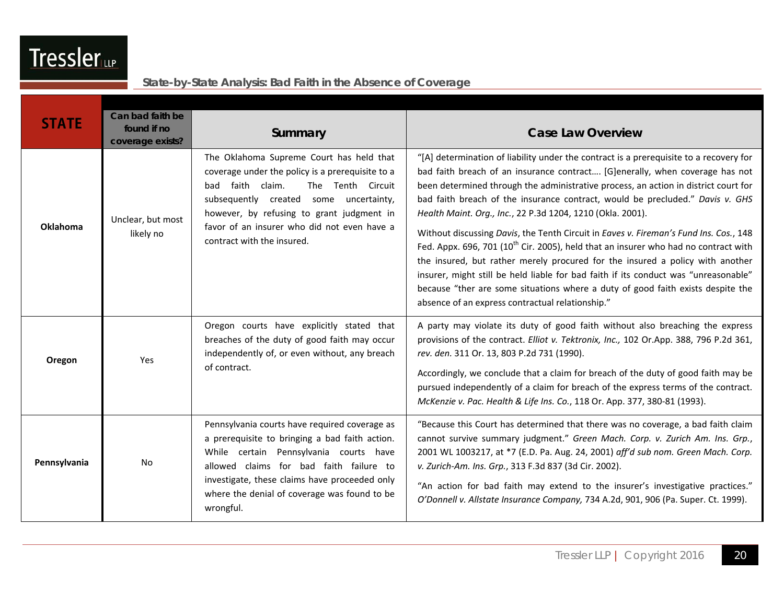| <b>STATE</b> | Can bad faith be<br>found if no<br>coverage exists? | Summary                                                                                                                                                                                                                                                                                                   | <b>Case Law Overview</b>                                                                                                                                                                                                                                                                                                                                                                                                                                                                                                                                                                                                                                                                                                                                                                                                                                                                                                |
|--------------|-----------------------------------------------------|-----------------------------------------------------------------------------------------------------------------------------------------------------------------------------------------------------------------------------------------------------------------------------------------------------------|-------------------------------------------------------------------------------------------------------------------------------------------------------------------------------------------------------------------------------------------------------------------------------------------------------------------------------------------------------------------------------------------------------------------------------------------------------------------------------------------------------------------------------------------------------------------------------------------------------------------------------------------------------------------------------------------------------------------------------------------------------------------------------------------------------------------------------------------------------------------------------------------------------------------------|
| Oklahoma     | Unclear, but most<br>likely no                      | The Oklahoma Supreme Court has held that<br>coverage under the policy is a prerequisite to a<br>bad faith claim.<br>The Tenth Circuit<br>subsequently created some uncertainty,<br>however, by refusing to grant judgment in<br>favor of an insurer who did not even have a<br>contract with the insured. | "[A] determination of liability under the contract is a prerequisite to a recovery for<br>bad faith breach of an insurance contract [G]enerally, when coverage has not<br>been determined through the administrative process, an action in district court for<br>bad faith breach of the insurance contract, would be precluded." Davis v. GHS<br>Health Maint. Org., Inc., 22 P.3d 1204, 1210 (Okla. 2001).<br>Without discussing Davis, the Tenth Circuit in Eaves v. Fireman's Fund Ins. Cos., 148<br>Fed. Appx. 696, 701 (10 <sup>th</sup> Cir. 2005), held that an insurer who had no contract with<br>the insured, but rather merely procured for the insured a policy with another<br>insurer, might still be held liable for bad faith if its conduct was "unreasonable"<br>because "ther are some situations where a duty of good faith exists despite the<br>absence of an express contractual relationship." |
| Oregon       | Yes                                                 | Oregon courts have explicitly stated that<br>breaches of the duty of good faith may occur<br>independently of, or even without, any breach<br>of contract.                                                                                                                                                | A party may violate its duty of good faith without also breaching the express<br>provisions of the contract. Elliot v. Tektronix, Inc., 102 Or.App. 388, 796 P.2d 361,<br>rev. den. 311 Or. 13, 803 P.2d 731 (1990).<br>Accordingly, we conclude that a claim for breach of the duty of good faith may be<br>pursued independently of a claim for breach of the express terms of the contract.<br>McKenzie v. Pac. Health & Life Ins. Co., 118 Or. App. 377, 380-81 (1993).                                                                                                                                                                                                                                                                                                                                                                                                                                             |
| Pennsylvania | No                                                  | Pennsylvania courts have required coverage as<br>a prerequisite to bringing a bad faith action.<br>While certain Pennsylvania courts have<br>allowed claims for bad faith failure to<br>investigate, these claims have proceeded only<br>where the denial of coverage was found to be<br>wrongful.        | "Because this Court has determined that there was no coverage, a bad faith claim<br>cannot survive summary judgment." Green Mach. Corp. v. Zurich Am. Ins. Grp.,<br>2001 WL 1003217, at *7 (E.D. Pa. Aug. 24, 2001) aff'd sub nom. Green Mach. Corp.<br>v. Zurich-Am. Ins. Grp., 313 F.3d 837 (3d Cir. 2002).<br>"An action for bad faith may extend to the insurer's investigative practices."<br>O'Donnell v. Allstate Insurance Company, 734 A.2d, 901, 906 (Pa. Super. Ct. 1999).                                                                                                                                                                                                                                                                                                                                                                                                                                   |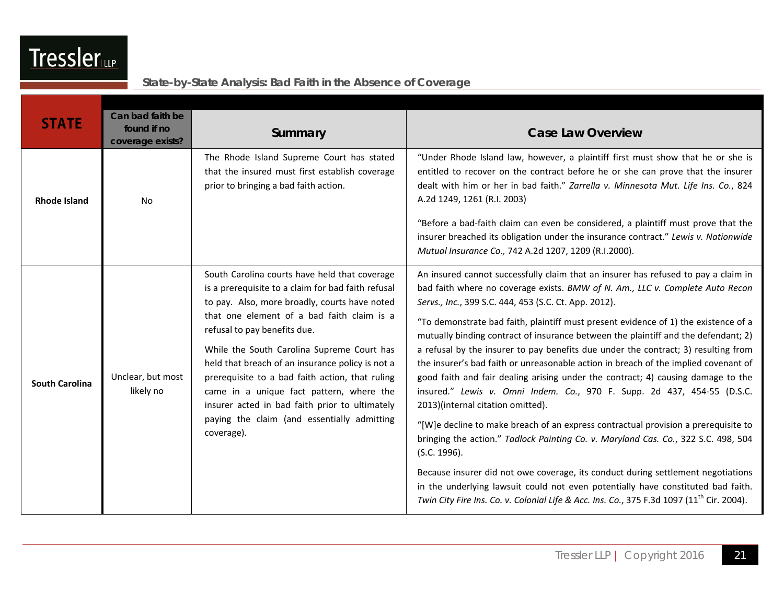| <b>STATE</b>          | Can bad faith be<br>found if no<br>coverage exists? | Summary                                                                                                                                                                                                                                                                                                                                                                                                                                                                                                                                            | <b>Case Law Overview</b>                                                                                                                                                                                                                                                                                                                                                                                                                                                                                                                                                                                                                                                                                                                                                                                                                                                                                                                                                                                                                                                                                                                                                                                                                                      |
|-----------------------|-----------------------------------------------------|----------------------------------------------------------------------------------------------------------------------------------------------------------------------------------------------------------------------------------------------------------------------------------------------------------------------------------------------------------------------------------------------------------------------------------------------------------------------------------------------------------------------------------------------------|---------------------------------------------------------------------------------------------------------------------------------------------------------------------------------------------------------------------------------------------------------------------------------------------------------------------------------------------------------------------------------------------------------------------------------------------------------------------------------------------------------------------------------------------------------------------------------------------------------------------------------------------------------------------------------------------------------------------------------------------------------------------------------------------------------------------------------------------------------------------------------------------------------------------------------------------------------------------------------------------------------------------------------------------------------------------------------------------------------------------------------------------------------------------------------------------------------------------------------------------------------------|
| <b>Rhode Island</b>   | No                                                  | The Rhode Island Supreme Court has stated<br>that the insured must first establish coverage<br>prior to bringing a bad faith action.                                                                                                                                                                                                                                                                                                                                                                                                               | "Under Rhode Island law, however, a plaintiff first must show that he or she is<br>entitled to recover on the contract before he or she can prove that the insurer<br>dealt with him or her in bad faith." Zarrella v. Minnesota Mut. Life Ins. Co., 824<br>A.2d 1249, 1261 (R.I. 2003)<br>"Before a bad-faith claim can even be considered, a plaintiff must prove that the<br>insurer breached its obligation under the insurance contract." Lewis v. Nationwide<br>Mutual Insurance Co., 742 A.2d 1207, 1209 (R.I.2000).                                                                                                                                                                                                                                                                                                                                                                                                                                                                                                                                                                                                                                                                                                                                   |
| <b>South Carolina</b> | Unclear, but most<br>likely no                      | South Carolina courts have held that coverage<br>is a prerequisite to a claim for bad faith refusal<br>to pay. Also, more broadly, courts have noted<br>that one element of a bad faith claim is a<br>refusal to pay benefits due.<br>While the South Carolina Supreme Court has<br>held that breach of an insurance policy is not a<br>prerequisite to a bad faith action, that ruling<br>came in a unique fact pattern, where the<br>insurer acted in bad faith prior to ultimately<br>paying the claim (and essentially admitting<br>coverage). | An insured cannot successfully claim that an insurer has refused to pay a claim in<br>bad faith where no coverage exists. BMW of N. Am., LLC v. Complete Auto Recon<br>Servs., Inc., 399 S.C. 444, 453 (S.C. Ct. App. 2012).<br>"To demonstrate bad faith, plaintiff must present evidence of 1) the existence of a<br>mutually binding contract of insurance between the plaintiff and the defendant; 2)<br>a refusal by the insurer to pay benefits due under the contract; 3) resulting from<br>the insurer's bad faith or unreasonable action in breach of the implied covenant of<br>good faith and fair dealing arising under the contract; 4) causing damage to the<br>insured." Lewis v. Omni Indem. Co., 970 F. Supp. 2d 437, 454-55 (D.S.C.<br>2013)(internal citation omitted).<br>"[W]e decline to make breach of an express contractual provision a prerequisite to<br>bringing the action." Tadlock Painting Co. v. Maryland Cas. Co., 322 S.C. 498, 504<br>(S.C. 1996).<br>Because insurer did not owe coverage, its conduct during settlement negotiations<br>in the underlying lawsuit could not even potentially have constituted bad faith.<br>Twin City Fire Ins. Co. v. Colonial Life & Acc. Ins. Co., 375 F.3d 1097 $(11th$ Cir. 2004). |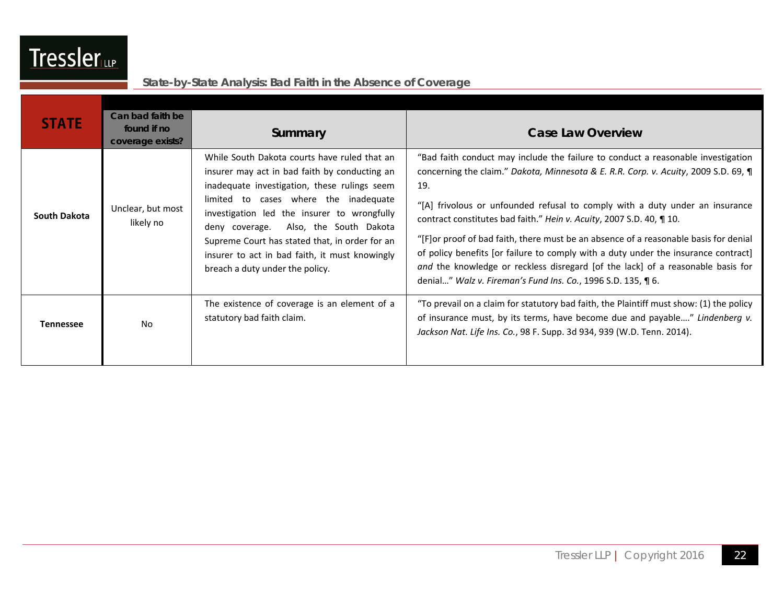| <b>STATE</b>     | Can bad faith be<br>found if no<br>coverage exists? | Summary                                                                                                                                                                                                                                                                                                                                                                                                               | <b>Case Law Overview</b>                                                                                                                                                                                                                                                                                                                                                                                                                                                                                                                                                                                                                                                 |
|------------------|-----------------------------------------------------|-----------------------------------------------------------------------------------------------------------------------------------------------------------------------------------------------------------------------------------------------------------------------------------------------------------------------------------------------------------------------------------------------------------------------|--------------------------------------------------------------------------------------------------------------------------------------------------------------------------------------------------------------------------------------------------------------------------------------------------------------------------------------------------------------------------------------------------------------------------------------------------------------------------------------------------------------------------------------------------------------------------------------------------------------------------------------------------------------------------|
| South Dakota     | Unclear, but most<br>likely no                      | While South Dakota courts have ruled that an<br>insurer may act in bad faith by conducting an<br>inadequate investigation, these rulings seem<br>limited to cases where the inadequate<br>investigation led the insurer to wrongfully<br>deny coverage. Also, the South Dakota<br>Supreme Court has stated that, in order for an<br>insurer to act in bad faith, it must knowingly<br>breach a duty under the policy. | "Bad faith conduct may include the failure to conduct a reasonable investigation<br>concerning the claim." Dakota, Minnesota & E. R.R. Corp. v. Acuity, 2009 S.D. 69, ¶<br>19.<br>"[A] frivolous or unfounded refusal to comply with a duty under an insurance<br>contract constitutes bad faith." Hein v. Acuity, 2007 S.D. 40, ¶ 10.<br>"[F] or proof of bad faith, there must be an absence of a reasonable basis for denial<br>of policy benefits [or failure to comply with a duty under the insurance contract]<br>and the knowledge or reckless disregard [of the lack] of a reasonable basis for<br>denial" Walz v. Fireman's Fund Ins. Co., 1996 S.D. 135, ¶ 6. |
| <b>Tennessee</b> | N <sub>0</sub>                                      | The existence of coverage is an element of a<br>statutory bad faith claim.                                                                                                                                                                                                                                                                                                                                            | "To prevail on a claim for statutory bad faith, the Plaintiff must show: (1) the policy<br>of insurance must, by its terms, have become due and payable" Lindenberg v.<br>Jackson Nat. Life Ins. Co., 98 F. Supp. 3d 934, 939 (W.D. Tenn. 2014).                                                                                                                                                                                                                                                                                                                                                                                                                         |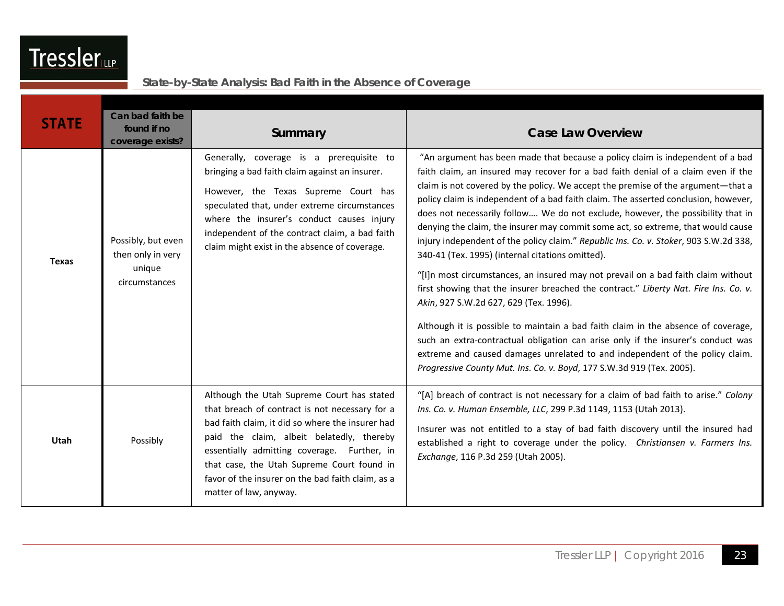| <b>STATE</b> | Can bad faith be<br>found if no<br>coverage exists?                | Summary                                                                                                                                                                                                                                                                                                                                                                   | <b>Case Law Overview</b>                                                                                                                                                                                                                                                                                                                                                                                                                                                                                                                                                                                                                                                                                                                                                                                                                                                                                                                                                                                                                                                                                                                                                                                                    |
|--------------|--------------------------------------------------------------------|---------------------------------------------------------------------------------------------------------------------------------------------------------------------------------------------------------------------------------------------------------------------------------------------------------------------------------------------------------------------------|-----------------------------------------------------------------------------------------------------------------------------------------------------------------------------------------------------------------------------------------------------------------------------------------------------------------------------------------------------------------------------------------------------------------------------------------------------------------------------------------------------------------------------------------------------------------------------------------------------------------------------------------------------------------------------------------------------------------------------------------------------------------------------------------------------------------------------------------------------------------------------------------------------------------------------------------------------------------------------------------------------------------------------------------------------------------------------------------------------------------------------------------------------------------------------------------------------------------------------|
| <b>Texas</b> | Possibly, but even<br>then only in very<br>unique<br>circumstances | Generally, coverage is a prerequisite to<br>bringing a bad faith claim against an insurer.<br>However, the Texas Supreme Court has<br>speculated that, under extreme circumstances<br>where the insurer's conduct causes injury<br>independent of the contract claim, a bad faith<br>claim might exist in the absence of coverage.                                        | "An argument has been made that because a policy claim is independent of a bad<br>faith claim, an insured may recover for a bad faith denial of a claim even if the<br>claim is not covered by the policy. We accept the premise of the argument—that a<br>policy claim is independent of a bad faith claim. The asserted conclusion, however,<br>does not necessarily follow We do not exclude, however, the possibility that in<br>denying the claim, the insurer may commit some act, so extreme, that would cause<br>injury independent of the policy claim." Republic Ins. Co. v. Stoker, 903 S.W.2d 338,<br>340-41 (Tex. 1995) (internal citations omitted).<br>"[I]n most circumstances, an insured may not prevail on a bad faith claim without<br>first showing that the insurer breached the contract." Liberty Nat. Fire Ins. Co. v.<br>Akin, 927 S.W.2d 627, 629 (Tex. 1996).<br>Although it is possible to maintain a bad faith claim in the absence of coverage,<br>such an extra-contractual obligation can arise only if the insurer's conduct was<br>extreme and caused damages unrelated to and independent of the policy claim.<br>Progressive County Mut. Ins. Co. v. Boyd, 177 S.W.3d 919 (Tex. 2005). |
| Utah         | Possibly                                                           | Although the Utah Supreme Court has stated<br>that breach of contract is not necessary for a<br>bad faith claim, it did so where the insurer had<br>paid the claim, albeit belatedly, thereby<br>essentially admitting coverage. Further, in<br>that case, the Utah Supreme Court found in<br>favor of the insurer on the bad faith claim, as a<br>matter of law, anyway. | "[A] breach of contract is not necessary for a claim of bad faith to arise." Colony<br>Ins. Co. v. Human Ensemble, LLC, 299 P.3d 1149, 1153 (Utah 2013).<br>Insurer was not entitled to a stay of bad faith discovery until the insured had<br>established a right to coverage under the policy. Christiansen v. Farmers Ins.<br>Exchange, 116 P.3d 259 (Utah 2005).                                                                                                                                                                                                                                                                                                                                                                                                                                                                                                                                                                                                                                                                                                                                                                                                                                                        |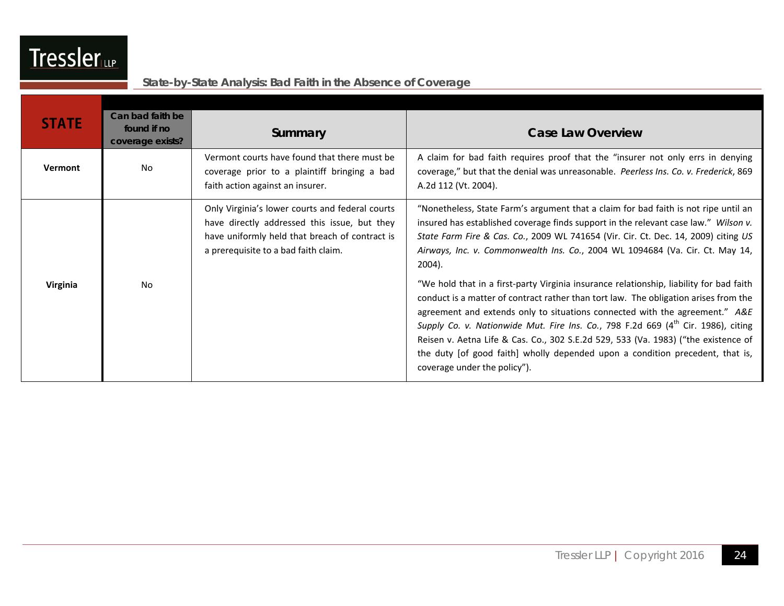

| <b>STATE</b> | Can bad faith be<br>found if no<br>coverage exists? | Summary                                                                                                                                                                                   | <b>Case Law Overview</b>                                                                                                                                                                                                                                                                                                                                                                                                                                                                                                                                               |
|--------------|-----------------------------------------------------|-------------------------------------------------------------------------------------------------------------------------------------------------------------------------------------------|------------------------------------------------------------------------------------------------------------------------------------------------------------------------------------------------------------------------------------------------------------------------------------------------------------------------------------------------------------------------------------------------------------------------------------------------------------------------------------------------------------------------------------------------------------------------|
| Vermont      | No                                                  | Vermont courts have found that there must be<br>coverage prior to a plaintiff bringing a bad<br>faith action against an insurer.                                                          | A claim for bad faith requires proof that the "insurer not only errs in denying<br>coverage," but that the denial was unreasonable. Peerless Ins. Co. v. Frederick, 869<br>A.2d 112 (Vt. 2004).                                                                                                                                                                                                                                                                                                                                                                        |
|              |                                                     | Only Virginia's lower courts and federal courts<br>have directly addressed this issue, but they<br>have uniformly held that breach of contract is<br>a prerequisite to a bad faith claim. | "Nonetheless, State Farm's argument that a claim for bad faith is not ripe until an<br>insured has established coverage finds support in the relevant case law." Wilson v.<br>State Farm Fire & Cas. Co., 2009 WL 741654 (Vir. Cir. Ct. Dec. 14, 2009) citing US<br>Airways, Inc. v. Commonwealth Ins. Co., 2004 WL 1094684 (Va. Cir. Ct. May 14,<br>2004).                                                                                                                                                                                                            |
| Virginia     | N <sub>0</sub>                                      |                                                                                                                                                                                           | "We hold that in a first-party Virginia insurance relationship, liability for bad faith<br>conduct is a matter of contract rather than tort law. The obligation arises from the<br>agreement and extends only to situations connected with the agreement." A&E<br>Supply Co. v. Nationwide Mut. Fire Ins. Co., 798 F.2d 669 (4 <sup>th</sup> Cir. 1986), citing<br>Reisen v. Aetna Life & Cas. Co., 302 S.E.2d 529, 533 (Va. 1983) ("the existence of<br>the duty [of good faith] wholly depended upon a condition precedent, that is,<br>coverage under the policy"). |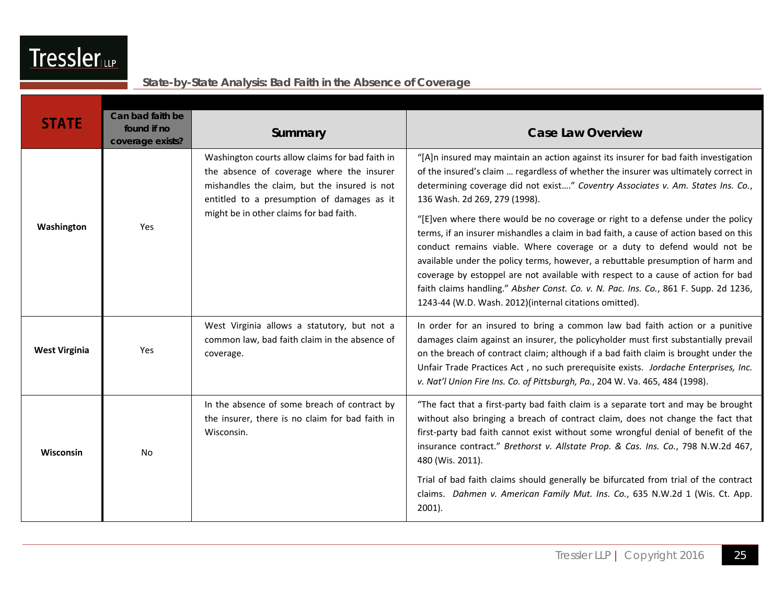| <b>STATE</b>         | Can bad faith be<br>found if no<br>coverage exists? | Summary                                                                                                                                                                                                                               | <b>Case Law Overview</b>                                                                                                                                                                                                                                                                                                                                                                                                                                                                                                                                                                                                                                                                                                                                                                                                                                                        |
|----------------------|-----------------------------------------------------|---------------------------------------------------------------------------------------------------------------------------------------------------------------------------------------------------------------------------------------|---------------------------------------------------------------------------------------------------------------------------------------------------------------------------------------------------------------------------------------------------------------------------------------------------------------------------------------------------------------------------------------------------------------------------------------------------------------------------------------------------------------------------------------------------------------------------------------------------------------------------------------------------------------------------------------------------------------------------------------------------------------------------------------------------------------------------------------------------------------------------------|
| Washington           | Yes                                                 | Washington courts allow claims for bad faith in<br>the absence of coverage where the insurer<br>mishandles the claim, but the insured is not<br>entitled to a presumption of damages as it<br>might be in other claims for bad faith. | "[A]n insured may maintain an action against its insurer for bad faith investigation<br>of the insured's claim  regardless of whether the insurer was ultimately correct in<br>determining coverage did not exist" Coventry Associates v. Am. States Ins. Co.,<br>136 Wash. 2d 269, 279 (1998).<br>"[E]ven where there would be no coverage or right to a defense under the policy<br>terms, if an insurer mishandles a claim in bad faith, a cause of action based on this<br>conduct remains viable. Where coverage or a duty to defend would not be<br>available under the policy terms, however, a rebuttable presumption of harm and<br>coverage by estoppel are not available with respect to a cause of action for bad<br>faith claims handling." Absher Const. Co. v. N. Pac. Ins. Co., 861 F. Supp. 2d 1236,<br>1243-44 (W.D. Wash. 2012)(internal citations omitted). |
| <b>West Virginia</b> | Yes                                                 | West Virginia allows a statutory, but not a<br>common law, bad faith claim in the absence of<br>coverage.                                                                                                                             | In order for an insured to bring a common law bad faith action or a punitive<br>damages claim against an insurer, the policyholder must first substantially prevail<br>on the breach of contract claim; although if a bad faith claim is brought under the<br>Unfair Trade Practices Act, no such prerequisite exists. Jordache Enterprises, Inc.<br>v. Nat'l Union Fire Ins. Co. of Pittsburgh, Pa., 204 W. Va. 465, 484 (1998).                                                                                                                                                                                                                                                                                                                                                                                                                                               |
| Wisconsin            | <b>No</b>                                           | In the absence of some breach of contract by<br>the insurer, there is no claim for bad faith in<br>Wisconsin.                                                                                                                         | "The fact that a first-party bad faith claim is a separate tort and may be brought<br>without also bringing a breach of contract claim, does not change the fact that<br>first-party bad faith cannot exist without some wrongful denial of benefit of the<br>insurance contract." Brethorst v. Allstate Prop. & Cas. Ins. Co., 798 N.W.2d 467,<br>480 (Wis. 2011).<br>Trial of bad faith claims should generally be bifurcated from trial of the contract<br>claims. Dahmen v. American Family Mut. Ins. Co., 635 N.W.2d 1 (Wis. Ct. App.<br>$2001$ ).                                                                                                                                                                                                                                                                                                                         |